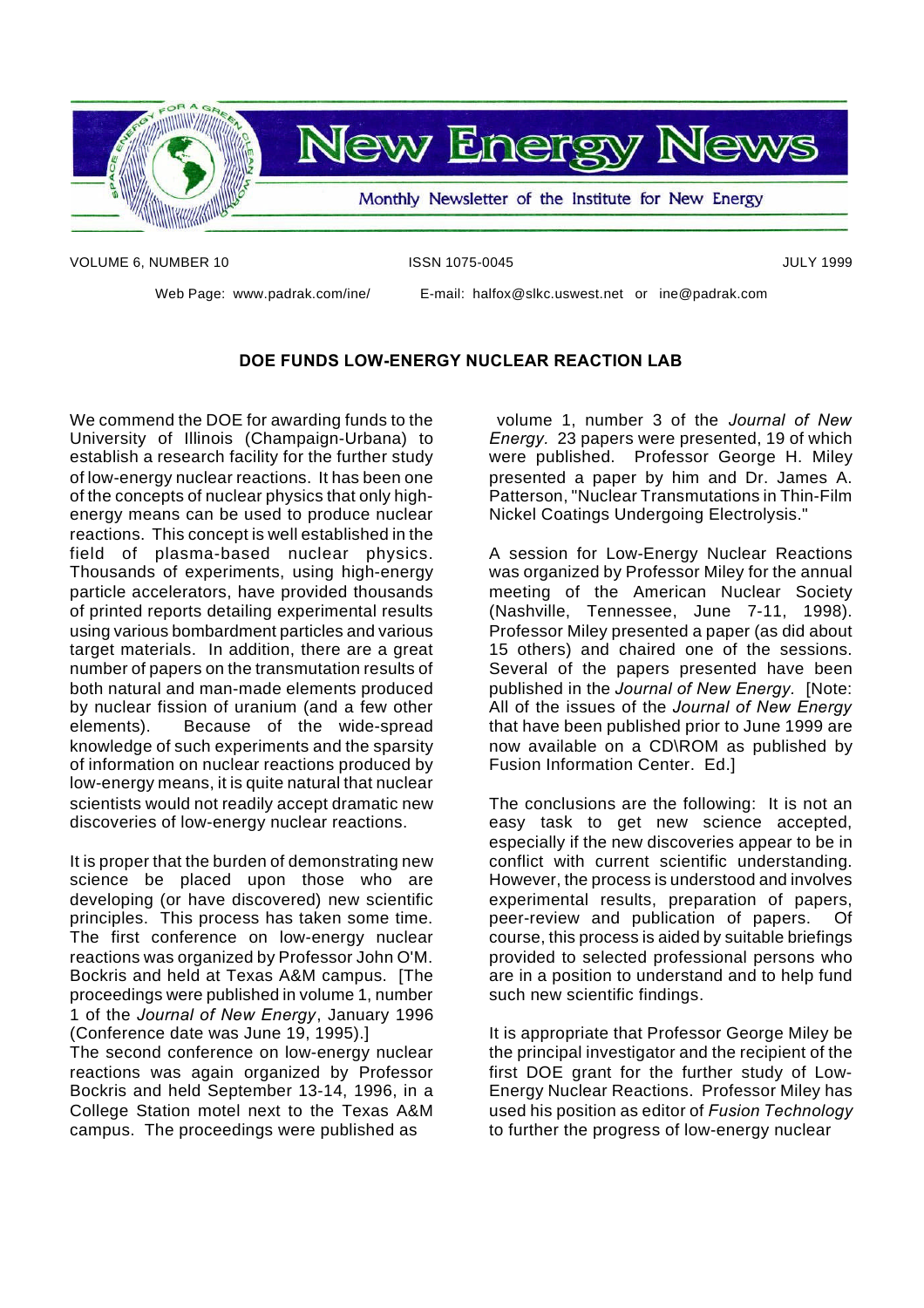

VOLUME 6, NUMBER 10 **ISSN 1075-0045** JULY 1999

Web Page: www.padrak.com/ine/ E-mail: halfox@slkc.uswest.net or ine@padrak.com

#### **DOE FUNDS LOW-ENERGY NUCLEAR REACTION LAB**

We commend the DOE for awarding funds to the University of Illinois (Champaign-Urbana) to establish a research facility for the further study of low-energy nuclear reactions. It has been one of the concepts of nuclear physics that only highenergy means can be used to produce nuclear reactions. This concept is well established in the field of plasma-based nuclear physics. Thousands of experiments, using high-energy particle accelerators, have provided thousands of printed reports detailing experimental results using various bombardment particles and various target materials. In addition, there are a great number of papers on the transmutation results of both natural and man-made elements produced by nuclear fission of uranium (and a few other elements). Because of the wide-spread knowledge of such experiments and the sparsity of information on nuclear reactions produced by low-energy means, it is quite natural that nuclear scientists would not readily accept dramatic new discoveries of low-energy nuclear reactions.

It is proper that the burden of demonstrating new science be placed upon those who are developing (or have discovered) new scientific principles. This process has taken some time. The first conference on low-energy nuclear reactions was organized by Professor John O'M. Bockris and held at Texas A&M campus. [The proceedings were published in volume 1, number 1 of the *Journal of New Energy*, January 1996 (Conference date was June 19, 1995).]

The second conference on low-energy nuclear reactions was again organized by Professor Bockris and held September 13-14, 1996, in a College Station motel next to the Texas A&M campus. The proceedings were published as

volume 1, number 3 of the *Journal of New Energy.* 23 papers were presented, 19 of which were published. Professor George H. Miley presented a paper by him and Dr. James A. Patterson, "Nuclear Transmutations in Thin-Film Nickel Coatings Undergoing Electrolysis."

A session for Low-Energy Nuclear Reactions was organized by Professor Miley for the annual meeting of the American Nuclear Society (Nashville, Tennessee, June 7-11, 1998). Professor Miley presented a paper (as did about 15 others) and chaired one of the sessions. Several of the papers presented have been published in the *Journal of New Energy.* [Note: All of the issues of the *Journal of New Energy* that have been published prior to June 1999 are now available on a CD\ROM as published by Fusion Information Center. Ed.]

The conclusions are the following: It is not an easy task to get new science accepted, especially if the new discoveries appear to be in conflict with current scientific understanding. However, the process is understood and involves experimental results, preparation of papers, peer-review and publication of papers. Of course, this process is aided by suitable briefings provided to selected professional persons who are in a position to understand and to help fund such new scientific findings.

It is appropriate that Professor George Miley be the principal investigator and the recipient of the first DOE grant for the further study of Low-Energy Nuclear Reactions. Professor Miley has used his position as editor of *Fusion Technology* to further the progress of low-energy nuclear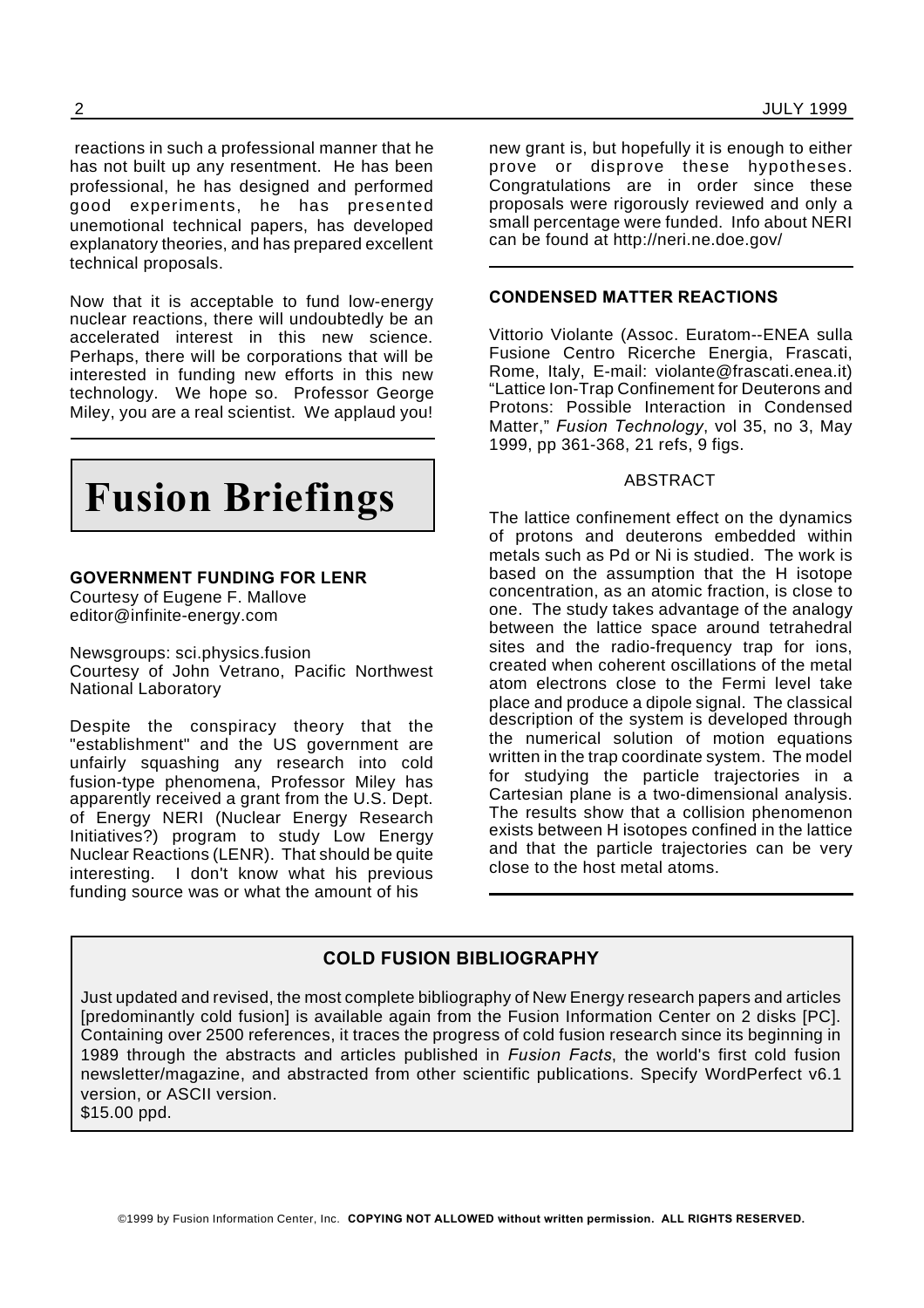reactions in such a professional manner that he has not built up any resentment. He has been professional, he has designed and performed good experiments, he has presented unemotional technical papers, has developed explanatory theories, and has prepared excellent technical proposals.

Now that it is acceptable to fund low-energy nuclear reactions, there will undoubtedly be an accelerated interest in this new science. Perhaps, there will be corporations that will be interested in funding new efforts in this new technology. We hope so. Professor George Miley, you are a real scientist. We applaud you!



#### **GOVERNMENT FUNDING FOR LENR**

Courtesy of Eugene F. Mallove editor@infinite-energy.com

Newsgroups: sci.physics.fusion Courtesy of John Vetrano, Pacific Northwest National Laboratory

Despite the conspiracy theory that the "establishment" and the US government are unfairly squashing any research into cold fusion-type phenomena, Professor Miley has apparently received a grant from the U.S. Dept. of Energy NERI (Nuclear Energy Research Initiatives?) program to study Low Energy Nuclear Reactions (LENR). That should be quite interesting. I don't know what his previous funding source was or what the amount of his

new grant is, but hopefully it is enough to either prove or disprove these hypotheses. Congratulations are in order since these proposals were rigorously reviewed and only a small percentage were funded. Info about NERI can be found at http://neri.ne.doe.gov/

#### **CONDENSED MATTER REACTIONS**

Vittorio Violante (Assoc. Euratom--ENEA sulla Fusione Centro Ricerche Energia, Frascati, Rome, Italy, E-mail: violante@frascati.enea.it) "Lattice Ion-Trap Confinement for Deuterons and Protons: Possible Interaction in Condensed Matter," *Fusion Technology*, vol 35, no 3, May 1999, pp 361-368, 21 refs, 9 figs.

#### ABSTRACT

The lattice confinement effect on the dynamics of protons and deuterons embedded within metals such as Pd or Ni is studied. The work is based on the assumption that the H isotope concentration, as an atomic fraction, is close to one. The study takes advantage of the analogy between the lattice space around tetrahedral sites and the radio-frequency trap for ions, created when coherent oscillations of the metal atom electrons close to the Fermi level take place and produce a dipole signal. The classical description of the system is developed through the numerical solution of motion equations written in the trap coordinate system. The model for studying the particle trajectories in a Cartesian plane is a two-dimensional analysis. The results show that a collision phenomenon exists between H isotopes confined in the lattice and that the particle trajectories can be very close to the host metal atoms.

#### **COLD FUSION BIBLIOGRAPHY**

Just updated and revised, the most complete bibliography of New Energy research papers and articles [predominantly cold fusion] is available again from the Fusion Information Center on 2 disks [PC]. Containing over 2500 references, it traces the progress of cold fusion research since its beginning in 1989 through the abstracts and articles published in *Fusion Facts*, the world's first cold fusion newsletter/magazine, and abstracted from other scientific publications. Specify WordPerfect v6.1 version, or ASCII version. \$15.00 ppd.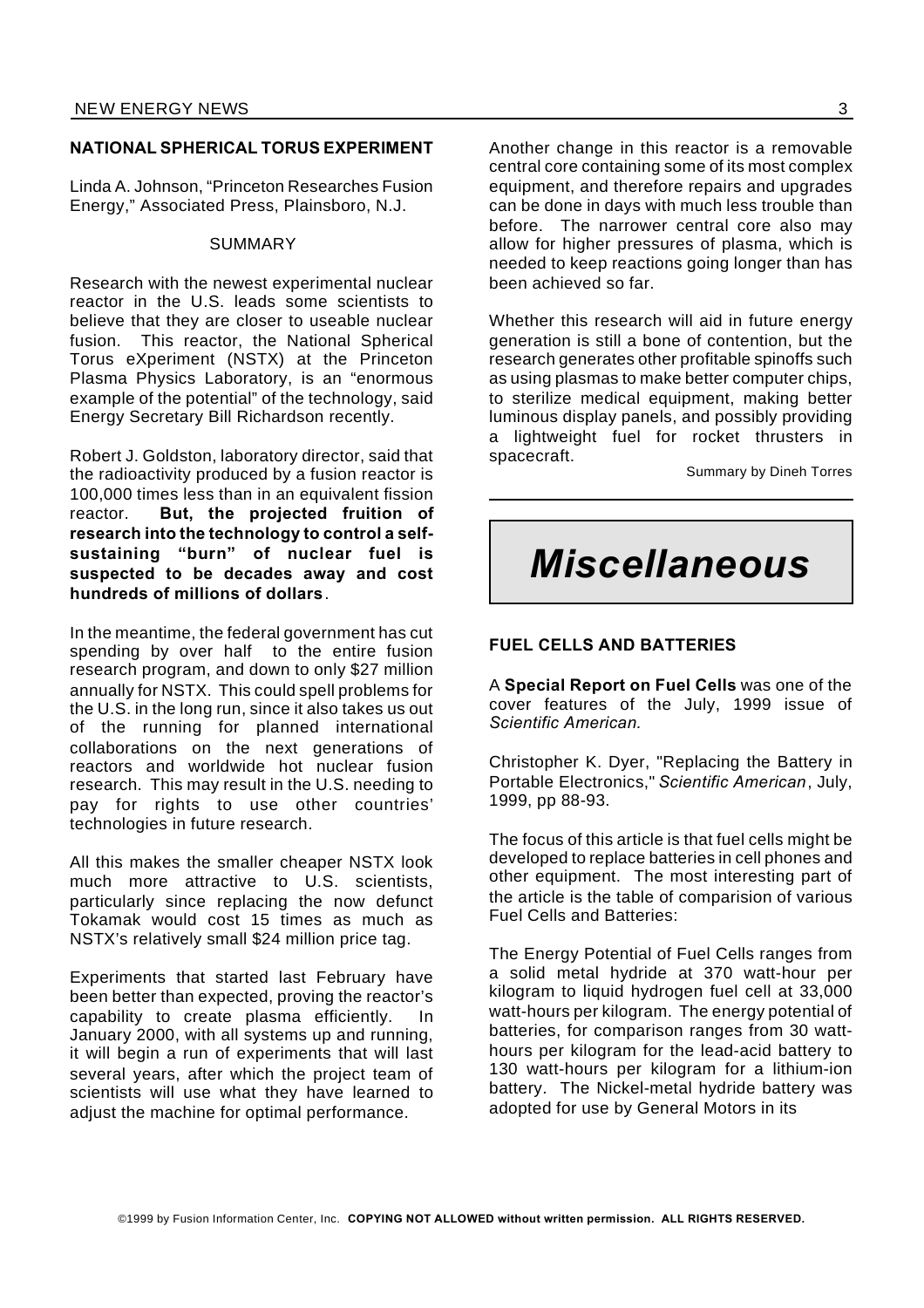#### **NATIONAL SPHERICAL TORUS EXPERIMENT**

Linda A. Johnson, "Princeton Researches Fusion Energy," Associated Press, Plainsboro, N.J.

#### SUMMARY

Research with the newest experimental nuclear reactor in the U.S. leads some scientists to believe that they are closer to useable nuclear fusion. This reactor, the National Spherical Torus eXperiment (NSTX) at the Princeton Plasma Physics Laboratory, is an "enormous example of the potential" of the technology, said Energy Secretary Bill Richardson recently.

Robert J. Goldston, laboratory director, said that the radioactivity produced by a fusion reactor is 100,000 times less than in an equivalent fission reactor. **But, the projected fruition of research into the technology to control a selfsustaining "burn" of nuclear fuel is suspected to be decades away and cost hundreds of millions of dollars**.

In the meantime, the federal government has cut spending by over half to the entire fusion research program, and down to only \$27 million annually for NSTX. This could spell problems for the U.S. in the long run, since it also takes us out of the running for planned international collaborations on the next generations of reactors and worldwide hot nuclear fusion research. This may result in the U.S. needing to pay for rights to use other countries' technologies in future research.

All this makes the smaller cheaper NSTX look much more attractive to U.S. scientists, particularly since replacing the now defunct Tokamak would cost 15 times as much as NSTX's relatively small \$24 million price tag.

Experiments that started last February have been better than expected, proving the reactor's capability to create plasma efficiently. In January 2000, with all systems up and running, it will begin a run of experiments that will last several years, after which the project team of scientists will use what they have learned to adiust the machine for optimal performance.

Another change in this reactor is a removable central core containing some of its most complex equipment, and therefore repairs and upgrades can be done in days with much less trouble than before. The narrower central core also may allow for higher pressures of plasma, which is needed to keep reactions going longer than has been achieved so far.

Whether this research will aid in future energy generation is still a bone of contention, but the research generates other profitable spinoffs such as using plasmas to make better computer chips, to sterilize medical equipment, making better luminous display panels, and possibly providing a lightweight fuel for rocket thrusters in spacecraft.

Summary by Dineh Torres

## *Miscellaneous*

#### **FUEL CELLS AND BATTERIES**

A **Special Report on Fuel Cells** was one of the cover features of the July, 1999 issue of *Scientific American.*

Christopher K. Dyer, "Replacing the Battery in Portable Electronics," *Scientific American*, July, 1999, pp 88-93.

The focus of this article is that fuel cells might be developed to replace batteries in cell phones and other equipment. The most interesting part of the article is the table of comparision of various Fuel Cells and Batteries:

The Energy Potential of Fuel Cells ranges from a solid metal hydride at 370 watt-hour per kilogram to liquid hydrogen fuel cell at 33,000 watt-hours per kilogram. The energy potential of batteries, for comparison ranges from 30 watthours per kilogram for the lead-acid battery to 130 watt-hours per kilogram for a lithium-ion battery. The Nickel-metal hydride battery was adopted for use by General Motors in its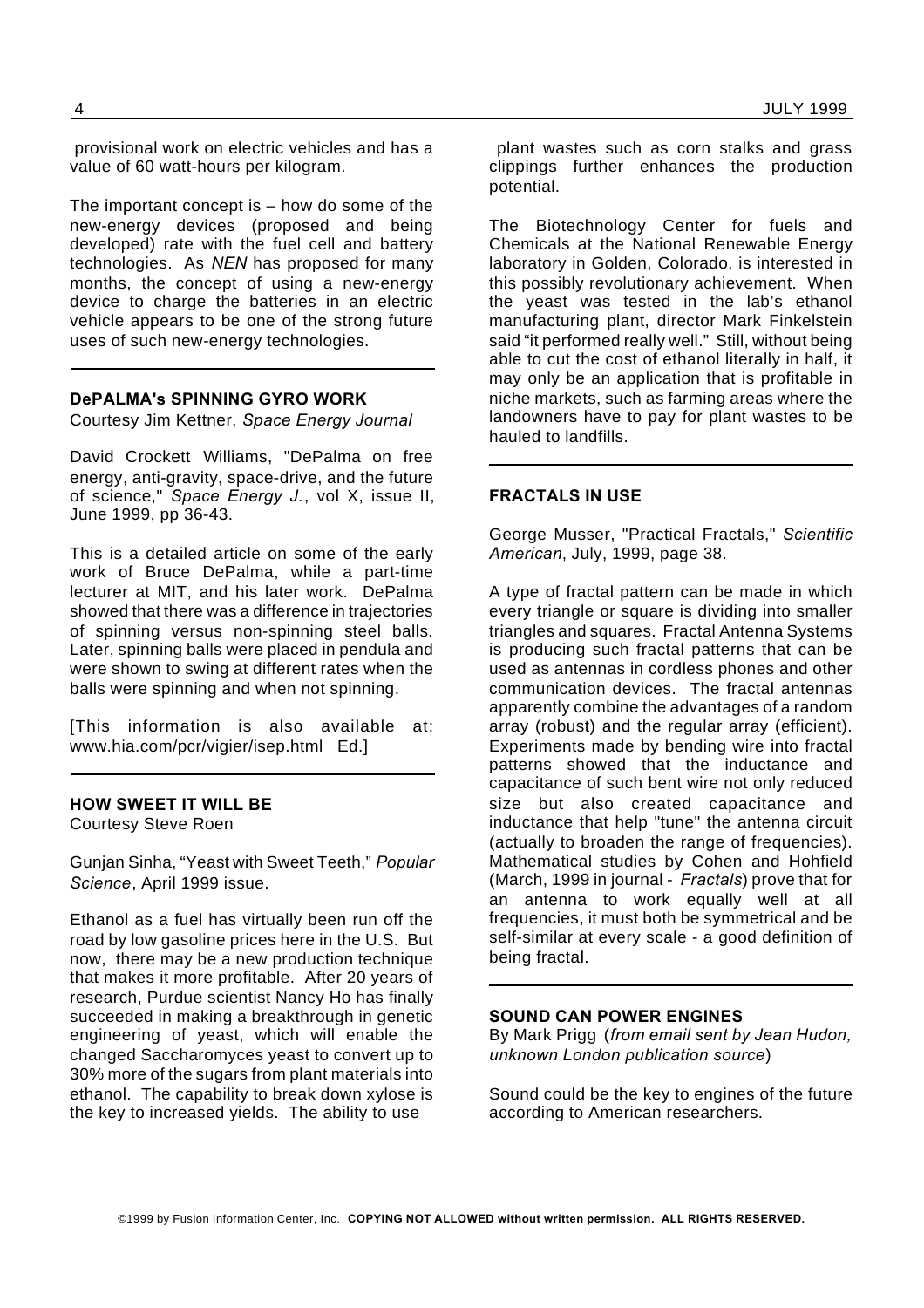provisional work on electric vehicles and has a value of 60 watt-hours per kilogram.

The important concept is – how do some of the new-energy devices (proposed and being developed) rate with the fuel cell and battery technologies. As *NEN* has proposed for many months, the concept of using a new-energy device to charge the batteries in an electric vehicle appears to be one of the strong future uses of such new-energy technologies.

#### **DePALMA's SPINNING GYRO WORK**

Courtesy Jim Kettner, *Space Energy Journal*

David Crockett Williams, "DePalma on free energy, anti-gravity, space-drive, and the future of science," *Space Energy J.*, vol X, issue II, June 1999, pp 36-43.

This is a detailed article on some of the early work of Bruce DePalma, while a part-time lecturer at MIT, and his later work. DePalma showed that there was a difference in trajectories of spinning versus non-spinning steel balls. Later, spinning balls were placed in pendula and were shown to swing at different rates when the balls were spinning and when not spinning.

[This information is also available at: www.hia.com/pcr/vigier/isep.html Ed.]

#### **HOW SWEET IT WILL BE**

Courtesy Steve Roen

Gunjan Sinha, "Yeast with Sweet Teeth," *Popular Science*, April 1999 issue.

Ethanol as a fuel has virtually been run off the road by low gasoline prices here in the U.S. But now, there may be a new production technique that makes it more profitable. After 20 years of research, Purdue scientist Nancy Ho has finally succeeded in making a breakthrough in genetic engineering of yeast, which will enable the changed Saccharomyces yeast to convert up to 30% more of the sugars from plant materials into ethanol. The capability to break down xylose is the key to increased yields. The ability to use

plant wastes such as corn stalks and grass clippings further enhances the production potential.

The Biotechnology Center for fuels and Chemicals at the National Renewable Energy laboratory in Golden, Colorado, is interested in this possibly revolutionary achievement. When the yeast was tested in the lab's ethanol manufacturing plant, director Mark Finkelstein said "it performed really well." Still, without being able to cut the cost of ethanol literally in half, it may only be an application that is profitable in niche markets, such as farming areas where the landowners have to pay for plant wastes to be hauled to landfills.

#### **FRACTALS IN USE**

George Musser, "Practical Fractals," *Scientific American*, July, 1999, page 38.

A type of fractal pattern can be made in which every triangle or square is dividing into smaller triangles and squares. Fractal Antenna Systems is producing such fractal patterns that can be used as antennas in cordless phones and other communication devices. The fractal antennas apparently combine the advantages of a random array (robust) and the regular array (efficient). Experiments made by bending wire into fractal patterns showed that the inductance and capacitance of such bent wire not only reduced size but also created capacitance and inductance that help "tune" the antenna circuit (actually to broaden the range of frequencies). Mathematical studies by Cohen and Hohfield (March, 1999 in journal - *Fractals*) prove that for an antenna to work equally well at all frequencies, it must both be symmetrical and be self-similar at every scale - a good definition of being fractal.

#### **SOUND CAN POWER ENGINES**

By Mark Prigg (*from email sent by Jean Hudon, unknown London publication source*)

Sound could be the key to engines of the future according to American researchers.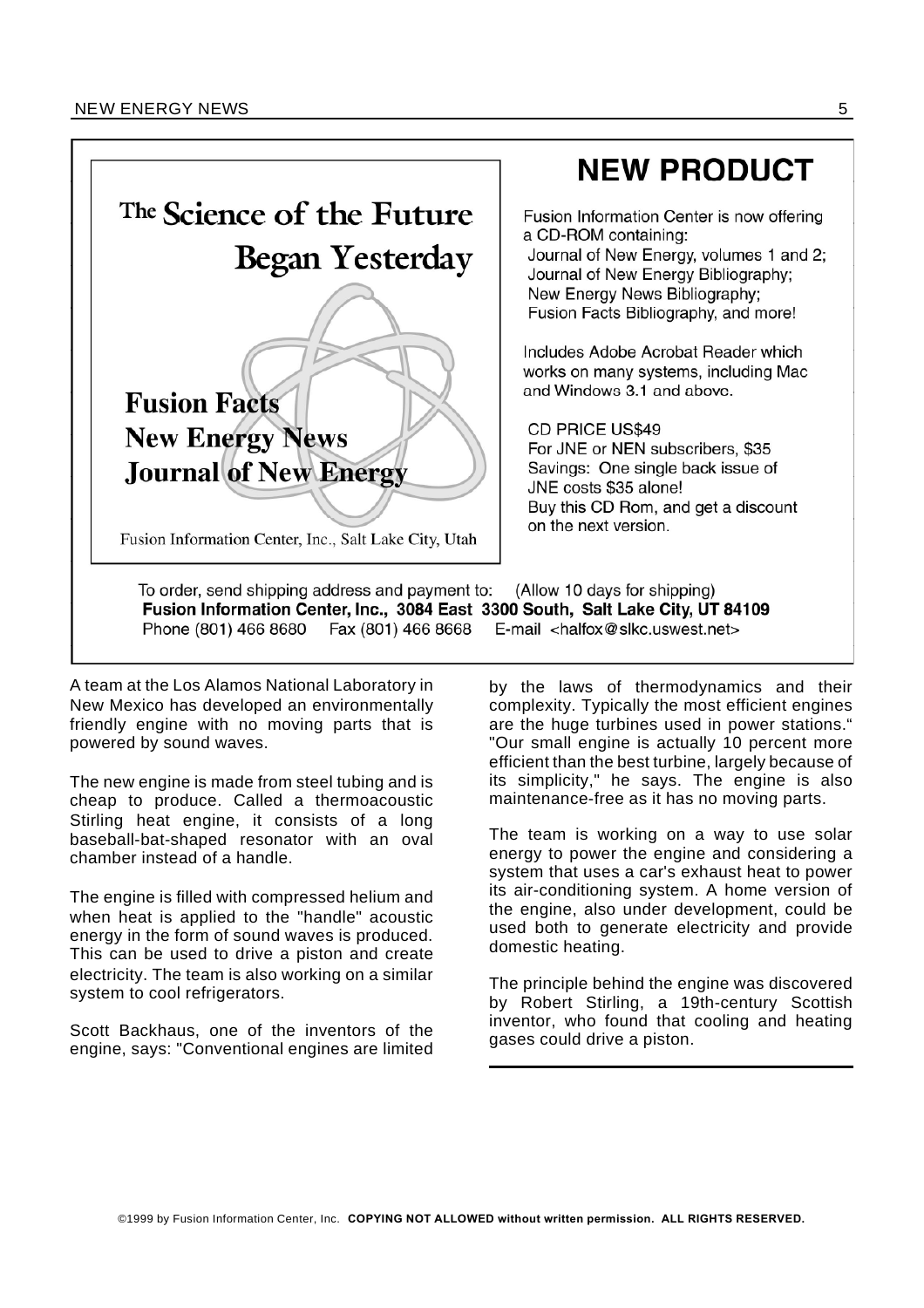

## **NEW PRODUCT**

Fusion Information Center is now offering a CD-ROM containing:

Journal of New Energy, volumes 1 and 2; Journal of New Energy Bibliography; New Energy News Bibliography; Fusion Facts Bibliography, and more!

Includes Adobe Acrobat Reader which works on many systems, including Mac and Windows 3.1 and above.

CD PRICE US\$49

For JNE or NEN subscribers, \$35 Savings: One single back issue of JNE costs \$35 alone! Buy this CD Rom, and get a discount on the next version.

To order, send shipping address and payment to: (Allow 10 days for shipping) Fusion Information Center, Inc., 3084 East 3300 South, Salt Lake City, UT 84109 Phone (801) 466 8680 Fax (801) 466 8668 E-mail  $\lt$ halfox@slkc.uswest.net>

A team at the Los Alamos National Laboratory in New Mexico has developed an environmentally friendly engine with no moving parts that is powered by sound waves.

The new engine is made from steel tubing and is cheap to produce. Called a thermoacoustic Stirling heat engine, it consists of a long baseball-bat-shaped resonator with an oval chamber instead of a handle.

The engine is filled with compressed helium and when heat is applied to the "handle" acoustic energy in the form of sound waves is produced. This can be used to drive a piston and create electricity. The team is also working on a similar system to cool refrigerators.

Scott Backhaus, one of the inventors of the engine, says: "Conventional engines are limited by the laws of thermodynamics and their complexity. Typically the most efficient engines are the huge turbines used in power stations." "Our small engine is actually 10 percent more efficient than the best turbine, largely because of its simplicity," he says. The engine is also maintenance-free as it has no moving parts.

The team is working on a way to use solar energy to power the engine and considering a system that uses a car's exhaust heat to power its air-conditioning system. A home version of the engine, also under development, could be used both to generate electricity and provide domestic heating.

The principle behind the engine was discovered by Robert Stirling, a 19th-century Scottish inventor, who found that cooling and heating gases could drive a piston.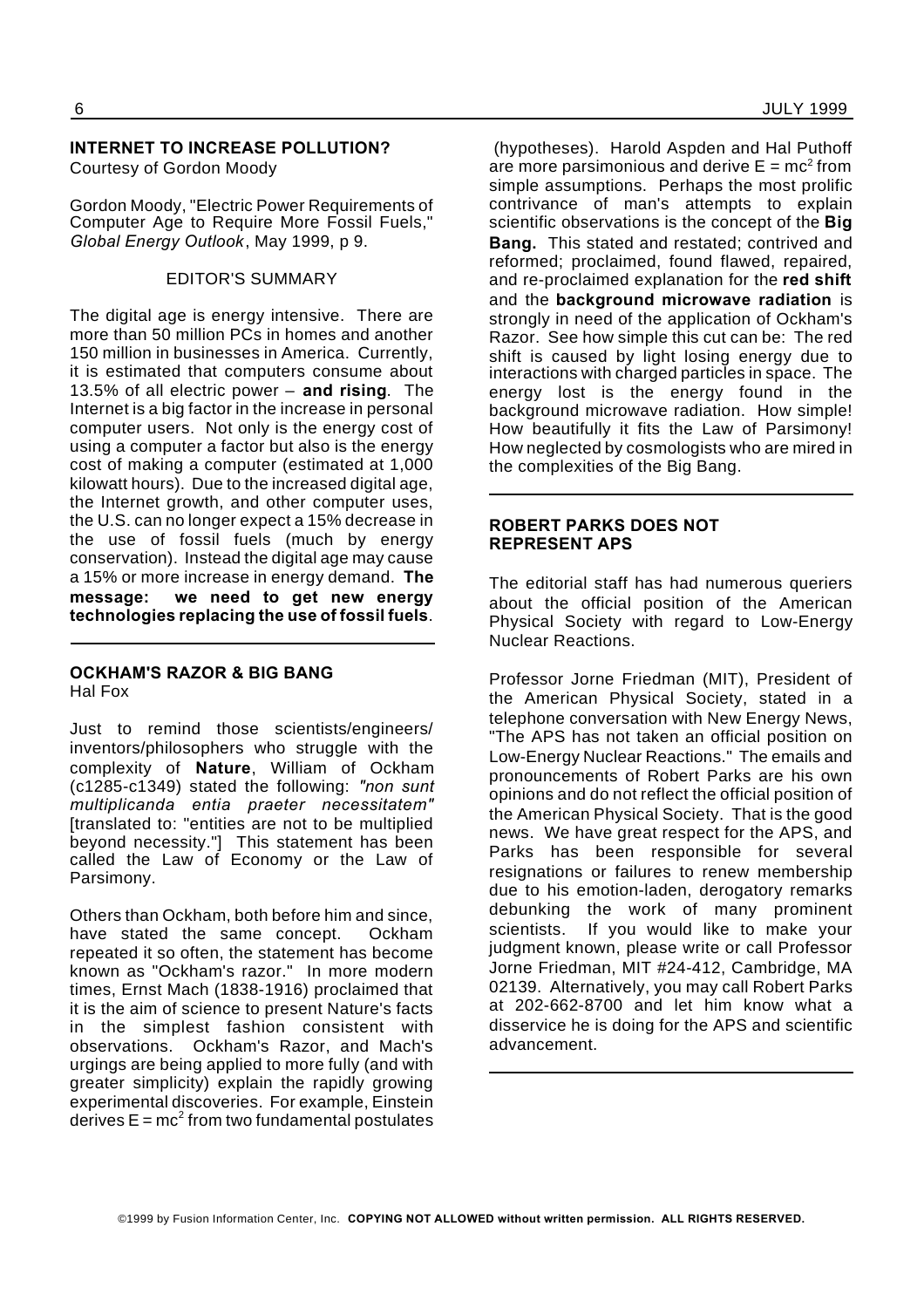#### **INTERNET TO INCREASE POLLUTION?** Courtesy of Gordon Moody

Gordon Moody, "Electric Power Requirements of Computer Age to Require More Fossil Fuels," *Global Energy Outlook*, May 1999, p 9.

#### EDITOR'S SUMMARY

The digital age is energy intensive. There are more than 50 million PCs in homes and another 150 million in businesses in America. Currently, it is estimated that computers consume about 13.5% of all electric power – **and rising**. The Internet is a big factor in the increase in personal computer users. Not only is the energy cost of using a computer a factor but also is the energy cost of making a computer (estimated at 1,000 kilowatt hours). Due to the increased digital age, the Internet growth, and other computer uses, the U.S. can no longer expect a 15% decrease in the use of fossil fuels (much by energy conservation). Instead the digital age may cause a 15% or more increase in energy demand. **The message: we need to get new energy technologies replacing the use of fossil fuels**.

#### **OCKHAM'S RAZOR & BIG BANG** Hal Fox

Just to remind those scientists/engineers/ inventors/philosophers who struggle with the complexity of **Nature**, William of Ockham (c1285-c1349) stated the following: *"non sunt multiplicanda entia praeter necessitatem"* [translated to: "entities are not to be multiplied beyond necessity."] This statement has been called the Law of Economy or the Law of Parsimony.

Others than Ockham, both before him and since, have stated the same concept. Ockham repeated it so often, the statement has become known as "Ockham's razor." In more modern times, Ernst Mach (1838-1916) proclaimed that it is the aim of science to present Nature's facts in the simplest fashion consistent with observations. Ockham's Razor, and Mach's urgings are being applied to more fully (and with greater simplicity) explain the rapidly growing experimental discoveries. For example, Einstein derives  $\mathsf{E} = \mathsf{mc}^2$  from two fundamental postulates

(hypotheses). Harold Aspden and Hal Puthoff are more parsimonious and derive  $\mathsf{E} = \mathsf{mc}^2$  from simple assumptions. Perhaps the most prolific contrivance of man's attempts to explain scientific observations is the concept of the **Big Bang.** This stated and restated; contrived and reformed; proclaimed, found flawed, repaired, and re-proclaimed explanation for the **red shift** and the **background microwave radiation** is strongly in need of the application of Ockham's Razor. See how simple this cut can be: The red shift is caused by light losing energy due to interactions with charged particles in space. The energy lost is the energy found in the background microwave radiation. How simple! How beautifully it fits the Law of Parsimony! How neglected by cosmologists who are mired in the complexities of the Big Bang.

#### **ROBERT PARKS DOES NOT REPRESENT APS**

The editorial staff has had numerous queriers about the official position of the American Physical Society with regard to Low-Energy Nuclear Reactions.

Professor Jorne Friedman (MIT), President of the American Physical Society, stated in a telephone conversation with New Energy News, "The APS has not taken an official position on Low-Energy Nuclear Reactions." The emails and pronouncements of Robert Parks are his own opinions and do not reflect the official position of the American Physical Society. That is the good news. We have great respect for the APS, and Parks has been responsible for several resignations or failures to renew membership due to his emotion-laden, derogatory remarks debunking the work of many prominent scientists. If you would like to make your judgment known, please write or call Professor Jorne Friedman, MIT #24-412, Cambridge, MA 02139. Alternatively, you may call Robert Parks at 202-662-8700 and let him know what a disservice he is doing for the APS and scientific advancement.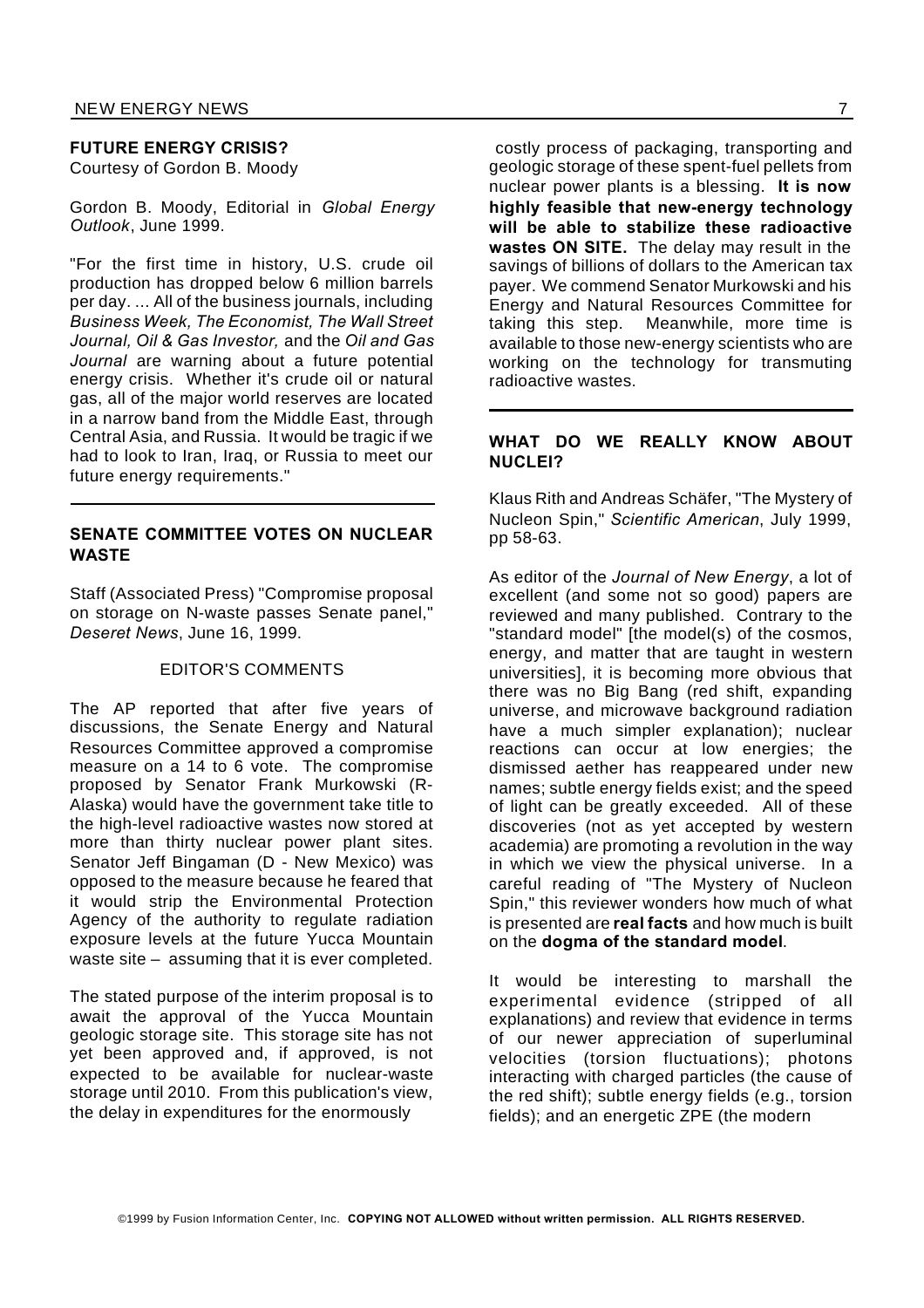#### **FUTURE ENERGY CRISIS?**

Courtesy of Gordon B. Moody

Gordon B. Moody, Editorial in *Global Energy Outlook*, June 1999.

"For the first time in history, U.S. crude oil production has dropped below 6 million barrels per day. ... All of the business journals, including *Business Week, The Economist, The Wall Street Journal, Oil & Gas Investor,* and the *Oil and Gas Journal* are warning about a future potential energy crisis. Whether it's crude oil or natural gas, all of the major world reserves are located in a narrow band from the Middle East, through Central Asia, and Russia. It would be tragic if we had to look to Iran, Iraq, or Russia to meet our future energy requirements."

#### **SENATE COMMITTEE VOTES ON NUCLEAR WASTE**

Staff (Associated Press) "Compromise proposal on storage on N-waste passes Senate panel," *Deseret News*, June 16, 1999.

#### EDITOR'S COMMENTS

The AP reported that after five years of discussions, the Senate Energy and Natural Resources Committee approved a compromise measure on a 14 to 6 vote. The compromise proposed by Senator Frank Murkowski (R-Alaska) would have the government take title to the high-level radioactive wastes now stored at more than thirty nuclear power plant sites. Senator Jeff Bingaman (D - New Mexico) was opposed to the measure because he feared that it would strip the Environmental Protection Agency of the authority to regulate radiation exposure levels at the future Yucca Mountain waste site – assuming that it is ever completed.

The stated purpose of the interim proposal is to await the approval of the Yucca Mountain geologic storage site. This storage site has not yet been approved and, if approved, is not expected to be available for nuclear-waste storage until 2010. From this publication's view, the delay in expenditures for the enormously

costly process of packaging, transporting and geologic storage of these spent-fuel pellets from nuclear power plants is a blessing. **It is now highly feasible that new-energy technology will be able to stabilize these radioactive wastes ON SITE.** The delay may result in the savings of billions of dollars to the American tax payer. We commend Senator Murkowski and his Energy and Natural Resources Committee for taking this step. Meanwhile, more time is available to those new-energy scientists who are working on the technology for transmuting radioactive wastes.

#### **WHAT DO WE REALLY KNOW ABOUT NUCLEI?**

Klaus Rith and Andreas Schäfer, "The Mystery of Nucleon Spin," *Scientific American*, July 1999, pp 58-63.

As editor of the *Journal of New Energy*, a lot of excellent (and some not so good) papers are reviewed and many published. Contrary to the "standard model" [the model(s) of the cosmos, energy, and matter that are taught in western universities], it is becoming more obvious that there was no Big Bang (red shift, expanding universe, and microwave background radiation have a much simpler explanation); nuclear reactions can occur at low energies; the dismissed aether has reappeared under new names; subtle energy fields exist; and the speed of light can be greatly exceeded. All of these discoveries (not as yet accepted by western academia) are promoting a revolution in the way in which we view the physical universe. In a careful reading of "The Mystery of Nucleon Spin," this reviewer wonders how much of what is presented are **real facts** and how much is built on the **dogma of the standard model**.

It would be interesting to marshall the experimental evidence (stripped of all explanations) and review that evidence in terms of our newer appreciation of superluminal velocities (torsion fluctuations); photons interacting with charged particles (the cause of the red shift); subtle energy fields (e.g., torsion fields); and an energetic ZPE (the modern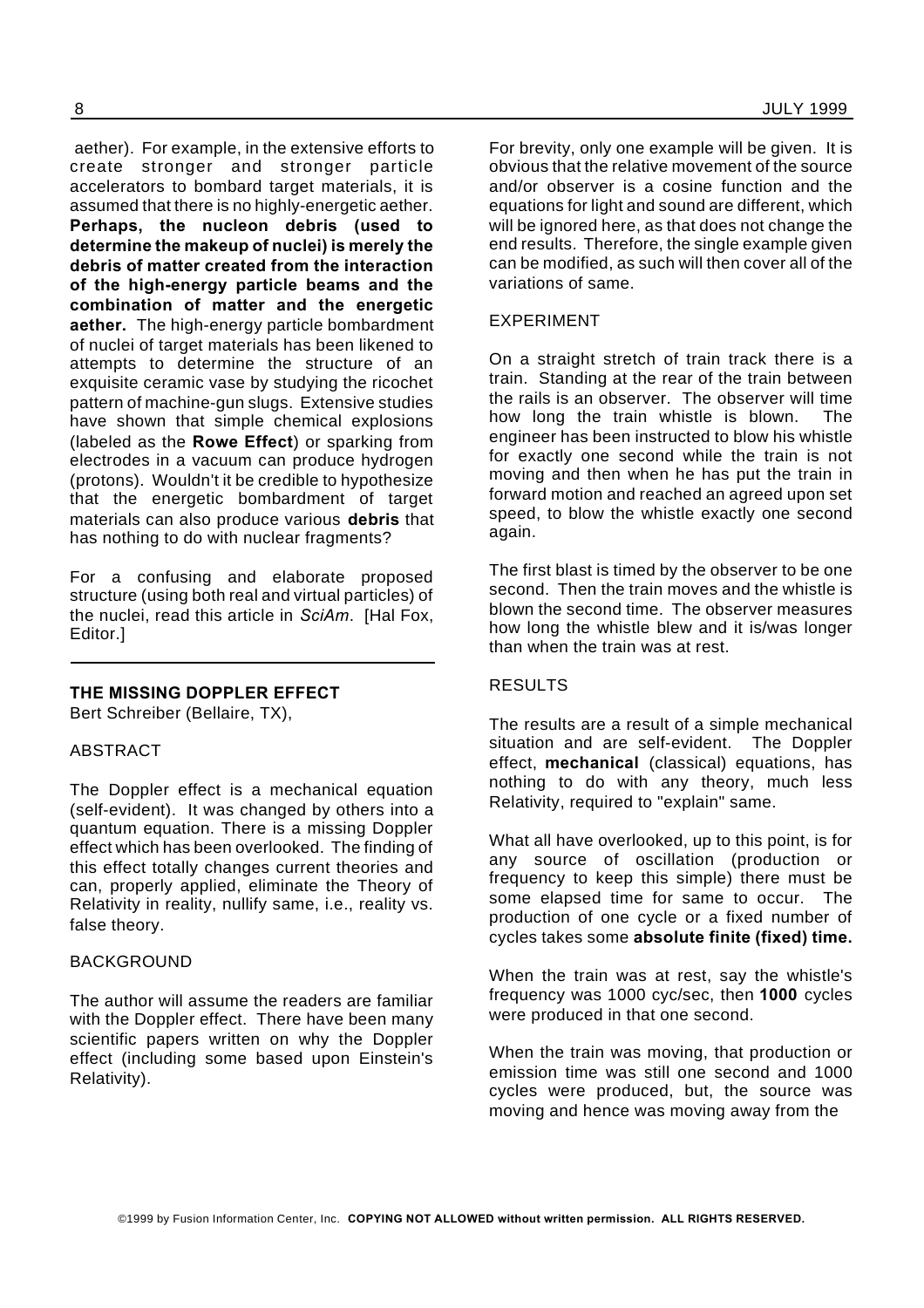aether). For example, in the extensive efforts to create stronger and stronger particle accelerators to bombard target materials, it is assumed that there is no highly-energetic aether. **Perhaps, the nucleon debris (used to determine the makeup of nuclei) is merely the debris of matter created from the interaction of the high-energy particle beams and the combination of matter and the energetic aether.** The high-energy particle bombardment of nuclei of target materials has been likened to attempts to determine the structure of an exquisite ceramic vase by studying the ricochet pattern of machine-gun slugs. Extensive studies have shown that simple chemical explosions (labeled as the **Rowe Effect**) or sparking from electrodes in a vacuum can produce hydrogen (protons). Wouldn't it be credible to hypothesize that the energetic bombardment of target materials can also produce various **debris** that has nothing to do with nuclear fragments?

For a confusing and elaborate proposed structure (using both real and virtual particles) of the nuclei, read this article in *SciAm*. [Hal Fox, Editor.]

#### **THE MISSING DOPPLER EFFECT**

Bert Schreiber (Bellaire, TX),

#### ABSTRACT

The Doppler effect is a mechanical equation (self-evident). It was changed by others into a quantum equation. There is a missing Doppler effect which has been overlooked. The finding of this effect totally changes current theories and can, properly applied, eliminate the Theory of Relativity in reality, nullify same, i.e., reality vs. false theory.

#### BACKGROUND

The author will assume the readers are familiar with the Doppler effect. There have been many scientific papers written on why the Doppler effect (including some based upon Einstein's Relativity).

For brevity, only one example will be given. It is obvious that the relative movement of the source and/or observer is a cosine function and the equations for light and sound are different, which will be ignored here, as that does not change the end results. Therefore, the single example given can be modified, as such will then cover all of the variations of same.

#### EXPERIMENT

On a straight stretch of train track there is a train. Standing at the rear of the train between the rails is an observer. The observer will time how long the train whistle is blown. The engineer has been instructed to blow his whistle for exactly one second while the train is not moving and then when he has put the train in forward motion and reached an agreed upon set speed, to blow the whistle exactly one second again.

The first blast is timed by the observer to be one second. Then the train moves and the whistle is blown the second time. The observer measures how long the whistle blew and it is/was longer than when the train was at rest.

#### RESULTS

The results are a result of a simple mechanical situation and are self-evident. The Doppler effect, **mechanical** (classical) equations, has nothing to do with any theory, much less Relativity, required to "explain" same.

What all have overlooked, up to this point, is for any source of oscillation (production or frequency to keep this simple) there must be some elapsed time for same to occur. The production of one cycle or a fixed number of cycles takes some **absolute finite (fixed) time.**

When the train was at rest, say the whistle's frequency was 1000 cyc/sec, then **1000** cycles were produced in that one second.

When the train was moving, that production or emission time was still one second and 1000 cycles were produced, but, the source was moving and hence was moving away from the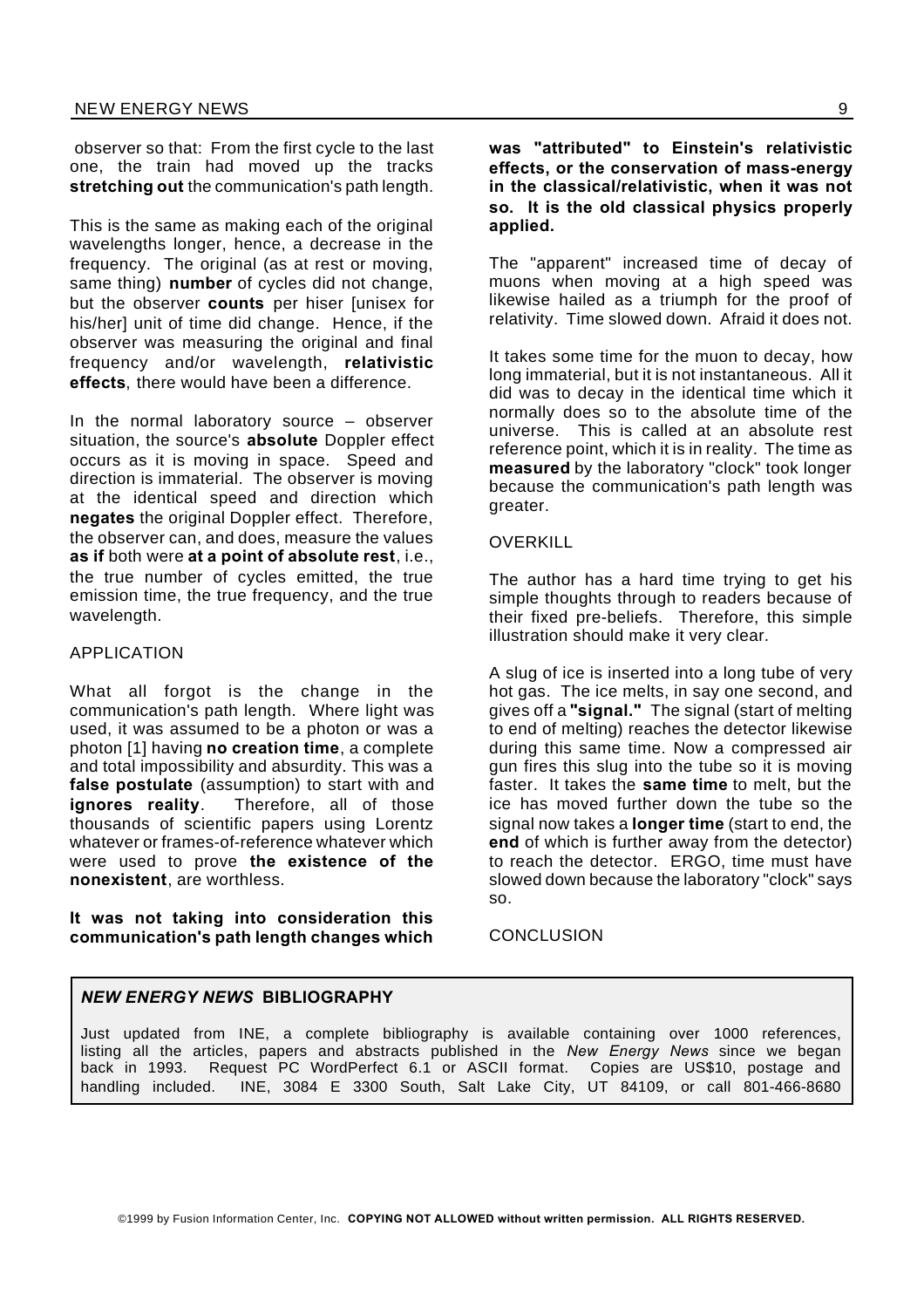observer so that: From the first cycle to the last one, the train had moved up the tracks **stretching out** the communication's path length.

This is the same as making each of the original wavelengths longer, hence, a decrease in the frequency. The original (as at rest or moving, same thing) **number** of cycles did not change, but the observer **counts** per hiser [unisex for his/her] unit of time did change. Hence, if the observer was measuring the original and final frequency and/or wavelength, **relativistic effects**, there would have been a difference.

In the normal laboratory source – observer situation, the source's **absolute** Doppler effect occurs as it is moving in space. Speed and direction is immaterial. The observer is moving at the identical speed and direction which **negates** the original Doppler effect. Therefore, the observer can, and does, measure the values **as if** both were **at a point of absolute rest**, i.e., the true number of cycles emitted, the true emission time, the true frequency, and the true wavelength.

#### APPLICATION

What all forgot is the change in the communication's path length. Where light was used, it was assumed to be a photon or was a photon [1] having **no creation time**, a complete and total impossibility and absurdity. This was a **false postulate** (assumption) to start with and **ignores reality**. Therefore, all of those thousands of scientific papers using Lorentz whatever or frames-of-reference whatever which were used to prove **the existence of the nonexistent**, are worthless.

**It was not taking into consideration this communication's path length changes which** **was "attributed" to Einstein's relativistic effects, or the conservation of mass-energy in the classical/relativistic, when it was not so. It is the old classical physics properly applied.**

The "apparent" increased time of decay of muons when moving at a high speed was likewise hailed as a triumph for the proof of relativity. Time slowed down. Afraid it does not.

It takes some time for the muon to decay, how long immaterial, but it is not instantaneous. All it did was to decay in the identical time which it normally does so to the absolute time of the universe. This is called at an absolute rest reference point, which it is in reality. The time as **measured** by the laboratory "clock" took longer because the communication's path length was greater.

#### OVERKILL

The author has a hard time trying to get his simple thoughts through to readers because of their fixed pre-beliefs. Therefore, this simple illustration should make it very clear.

A slug of ice is inserted into a long tube of very hot gas. The ice melts, in say one second, and gives off a **"signal."** The signal (start of melting to end of melting) reaches the detector likewise during this same time. Now a compressed air gun fires this slug into the tube so it is moving faster. It takes the **same time** to melt, but the ice has moved further down the tube so the signal now takes a **longer time** (start to end, the **end** of which is further away from the detector) to reach the detector. ERGO, time must have slowed down because the laboratory "clock" says so.

**CONCLUSION** 

#### *NEW ENERGY NEWS* **BIBLIOGRAPHY**

Just updated from INE, a complete bibliography is available containing over 1000 references, listing all the articles, papers and abstracts published in the *New Energy News* since we began back in 1993. Request PC WordPerfect 6.1 or ASCII format. Copies are US\$10, postage and handling included. INE, 3084 E 3300 South, Salt Lake City, UT 84109, or call 801-466-8680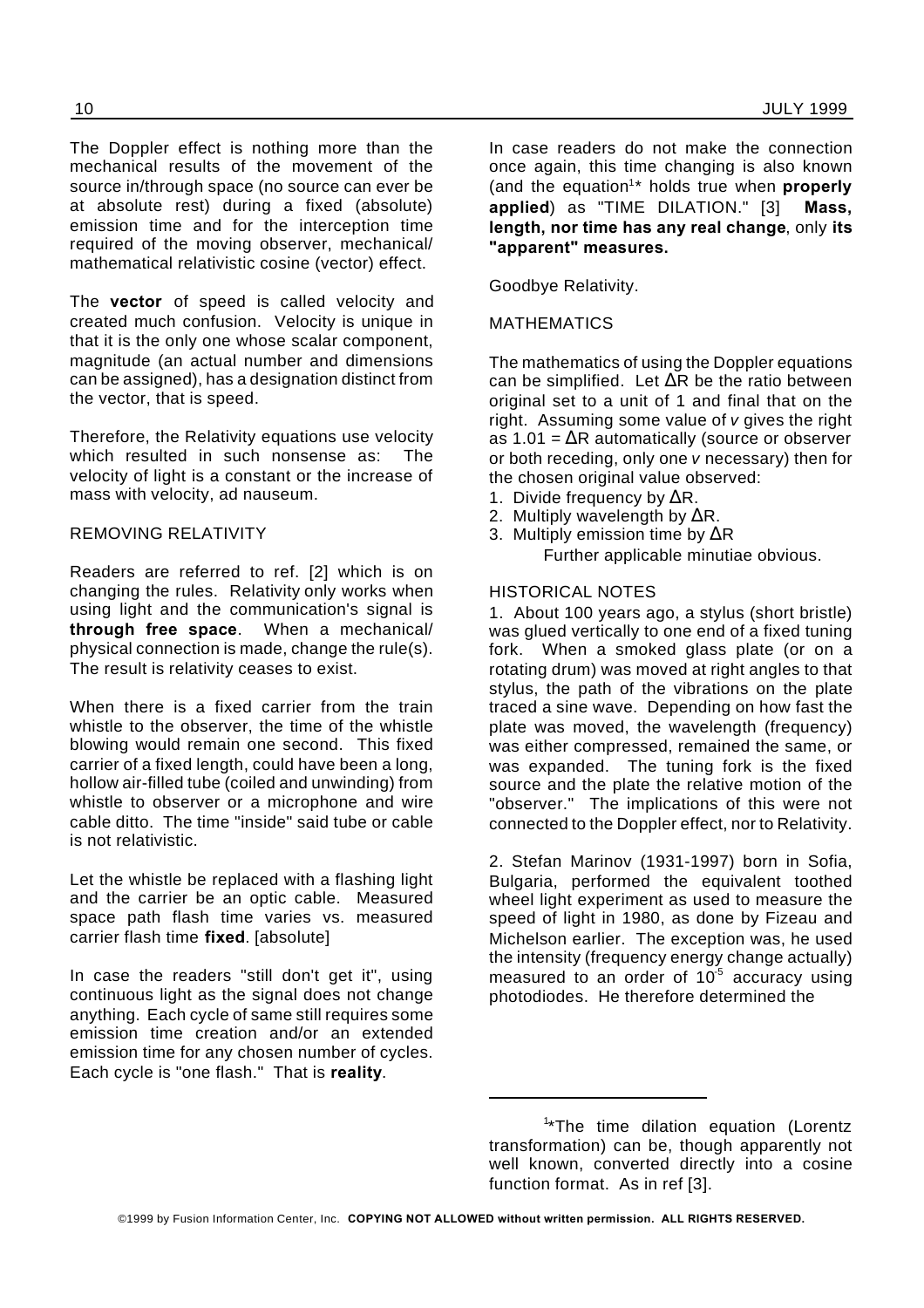The Doppler effect is nothing more than the mechanical results of the movement of the source in/through space (no source can ever be at absolute rest) during a fixed (absolute) emission time and for the interception time required of the moving observer, mechanical/ mathematical relativistic cosine (vector) effect.

The **vector** of speed is called velocity and created much confusion. Velocity is unique in that it is the only one whose scalar component, magnitude (an actual number and dimensions can be assigned), has a designation distinct from the vector, that is speed.

Therefore, the Relativity equations use velocity which resulted in such nonsense as: The velocity of light is a constant or the increase of mass with velocity, ad nauseum.

#### REMOVING RELATIVITY

Readers are referred to ref. [2] which is on changing the rules. Relativity only works when using light and the communication's signal is **through free space**. When a mechanical/ physical connection is made, change the rule(s). The result is relativity ceases to exist.

When there is a fixed carrier from the train whistle to the observer, the time of the whistle blowing would remain one second. This fixed carrier of a fixed length, could have been a long, hollow air-filled tube (coiled and unwinding) from whistle to observer or a microphone and wire cable ditto. The time "inside" said tube or cable is not relativistic.

Let the whistle be replaced with a flashing light and the carrier be an optic cable. Measured space path flash time varies vs. measured carrier flash time **fixed**. [absolute]

In case the readers "still don't get it", using continuous light as the signal does not change anything. Each cycle of same still requires some emission time creation and/or an extended emission time for any chosen number of cycles. Each cycle is "one flash." That is **reality**.

In case readers do not make the connection once again, this time changing is also known (and the equation<sup>1\*</sup> holds true when **properly applied**) as "TIME DILATION." [3] **Mass, length, nor time has any real change**, only **its "apparent" measures.**

Goodbye Relativity.

#### MATHEMATICS

The mathematics of using the Doppler equations can be simplified. Let  $\Delta R$  be the ratio between original set to a unit of 1 and final that on the right. Assuming some value of *v* gives the right as  $1.01 = \Delta R$  automatically (source or observer or both receding, only one *v* necessary) then for the chosen original value observed:

- 1. Divide frequency by  $\Delta R$ .
- 2. Multiply wavelength by  $\Delta R$ .
- 3. Multiply emission time by  $\Delta R$

#### HISTORICAL NOTES

1. About 100 years ago, a stylus (short bristle) was glued vertically to one end of a fixed tuning fork. When a smoked glass plate (or on a rotating drum) was moved at right angles to that stylus, the path of the vibrations on the plate traced a sine wave. Depending on how fast the plate was moved, the wavelength (frequency) was either compressed, remained the same, or was expanded. The tuning fork is the fixed source and the plate the relative motion of the "observer." The implications of this were not connected to the Doppler effect, nor to Relativity.

2. Stefan Marinov (1931-1997) born in Sofia, Bulgaria, performed the equivalent toothed wheel light experiment as used to measure the speed of light in 1980, as done by Fizeau and Michelson earlier. The exception was, he used the intensity (frequency energy change actually) measured to an order of  $10^{-5}$  accuracy using photodiodes. He therefore determined the

Further applicable minutiae obvious.

<sup>&</sup>lt;sup>1</sup>\*The time dilation equation (Lorentz transformation) can be, though apparently not well known, converted directly into a cosine function format. As in ref [3].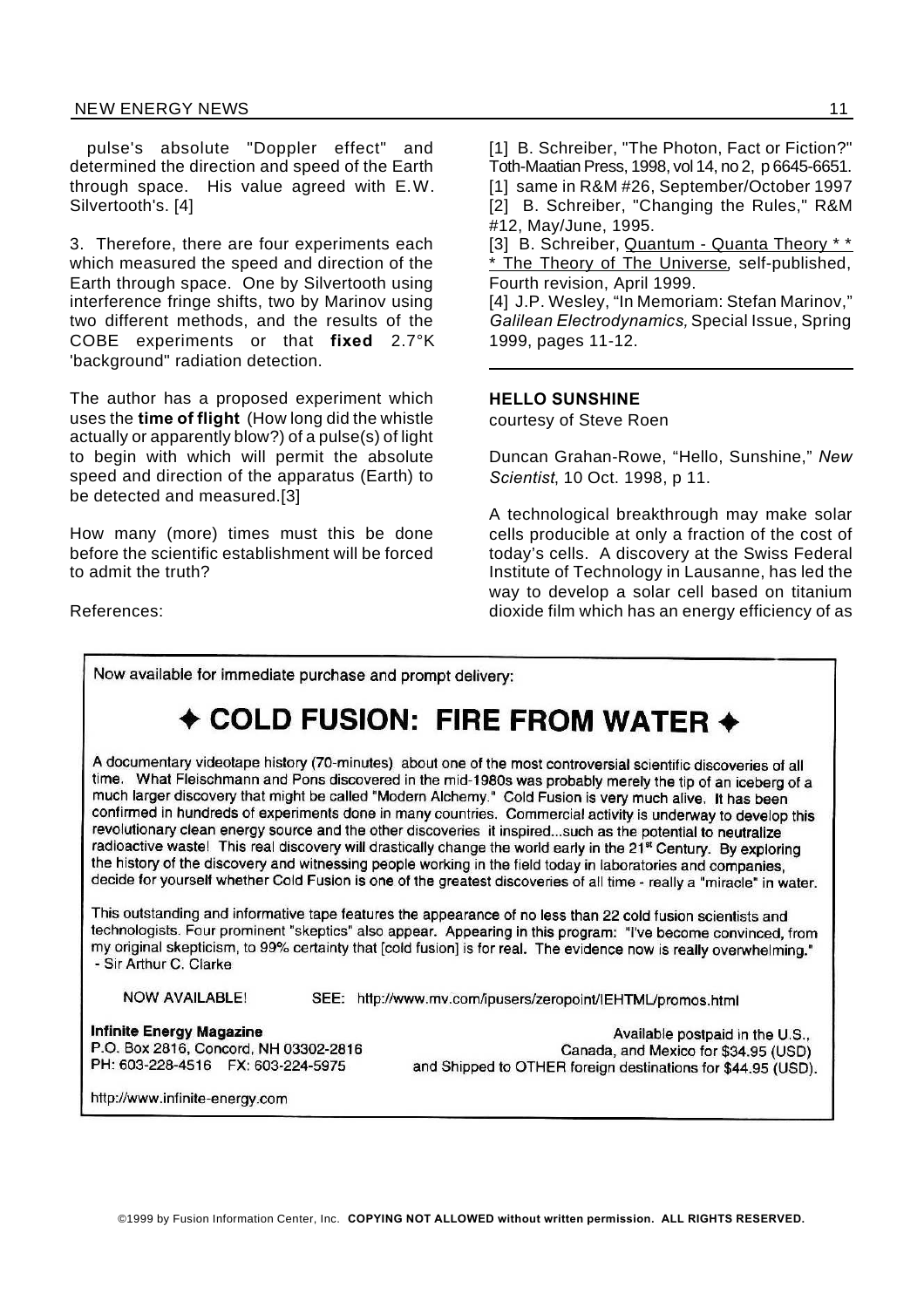#### NEW ENERGY NEWS 11

pulse's absolute "Doppler effect" and determined the direction and speed of the Earth through space. His value agreed with E.W. Silvertooth's. [4]

3. Therefore, there are four experiments each which measured the speed and direction of the Earth through space. One by Silvertooth using interference fringe shifts, two by Marinov using two different methods, and the results of the COBE experiments or that **fixed** 2.7°K 'background" radiation detection.

The author has a proposed experiment which uses the **time of flight** (How long did the whistle actually or apparently blow?) of a pulse(s) of light to begin with which will permit the absolute speed and direction of the apparatus (Earth) to be detected and measured.[3]

How many (more) times must this be done before the scientific establishment will be forced to admit the truth?

References:

[1] B. Schreiber, "The Photon, Fact or Fiction?" Toth-Maatian Press, 1998, vol 14, no 2, p 6645-6651. [1] same in R&M #26, September/October 1997 [2] B. Schreiber, "Changing the Rules," R&M #12, May/June, 1995.

[3] B. Schreiber, Quantum - Quanta Theory \* \* \* The Theory of The Universe, self-published, Fourth revision, April 1999.

[4] J.P. Wesley, "In Memoriam: Stefan Marinov," *Galilean Electrodynamics,*Special Issue, Spring 1999, pages 11-12.

#### **HELLO SUNSHINE**

courtesy of Steve Roen

Duncan Grahan-Rowe, "Hello, Sunshine," *New Scientist*, 10 Oct. 1998, p 11.

A technological breakthrough may make solar cells producible at only a fraction of the cost of today's cells. A discovery at the Swiss Federal Institute of Technology in Lausanne, has led the way to develop a solar cell based on titanium dioxide film which has an energy efficiency of as

Now available for immediate purchase and prompt delivery:

## COLD FUSION: FIRE FROM WATER  $\rightarrow$

A documentary videotape history (70-minutes) about one of the most controversial scientific discoveries of all time. What Fleischmann and Pons discovered in the mid-1980s was probably merely the tip of an iceberg of a much larger discovery that might be called "Modern Alchemy." Cold Fusion is very much alive. It has been confirmed in hundreds of experiments done in many countries. Commercial activity is underway to develop this revolutionary clean energy source and the other discoveries it inspired...such as the potential to neutralize radioactive waste! This real discovery will drastically change the world early in the 21<sup>st</sup> Century. By exploring the history of the discovery and witnessing people working in the field today in laboratories and companies, decide for yourself whether Cold Fusion is one of the greatest discoveries of all time - really a "miracle" in water.

This outstanding and informative tape features the appearance of no less than 22 cold fusion scientists and technologists. Four prominent "skeptics" also appear. Appearing in this program: "I've become convinced, from my original skepticism, to 99% certainty that [cold fusion] is for real. The evidence now is really overwhelming." - Sir Arthur C. Clarke

**NOW AVAILABLE!** 

SEE: http://www.mv.com/ipusers/zeropoint/IEHTML/promos.html

**Infinite Energy Magazine** P.O. Box 2816, Concord, NH 03302-2816 PH: 603-228-4516 FX: 603-224-5975

Available postpaid in the U.S.. Canada, and Mexico for \$34.95 (USD) and Shipped to OTHER foreign destinations for \$44.95 (USD).

http://www.infinite-energy.com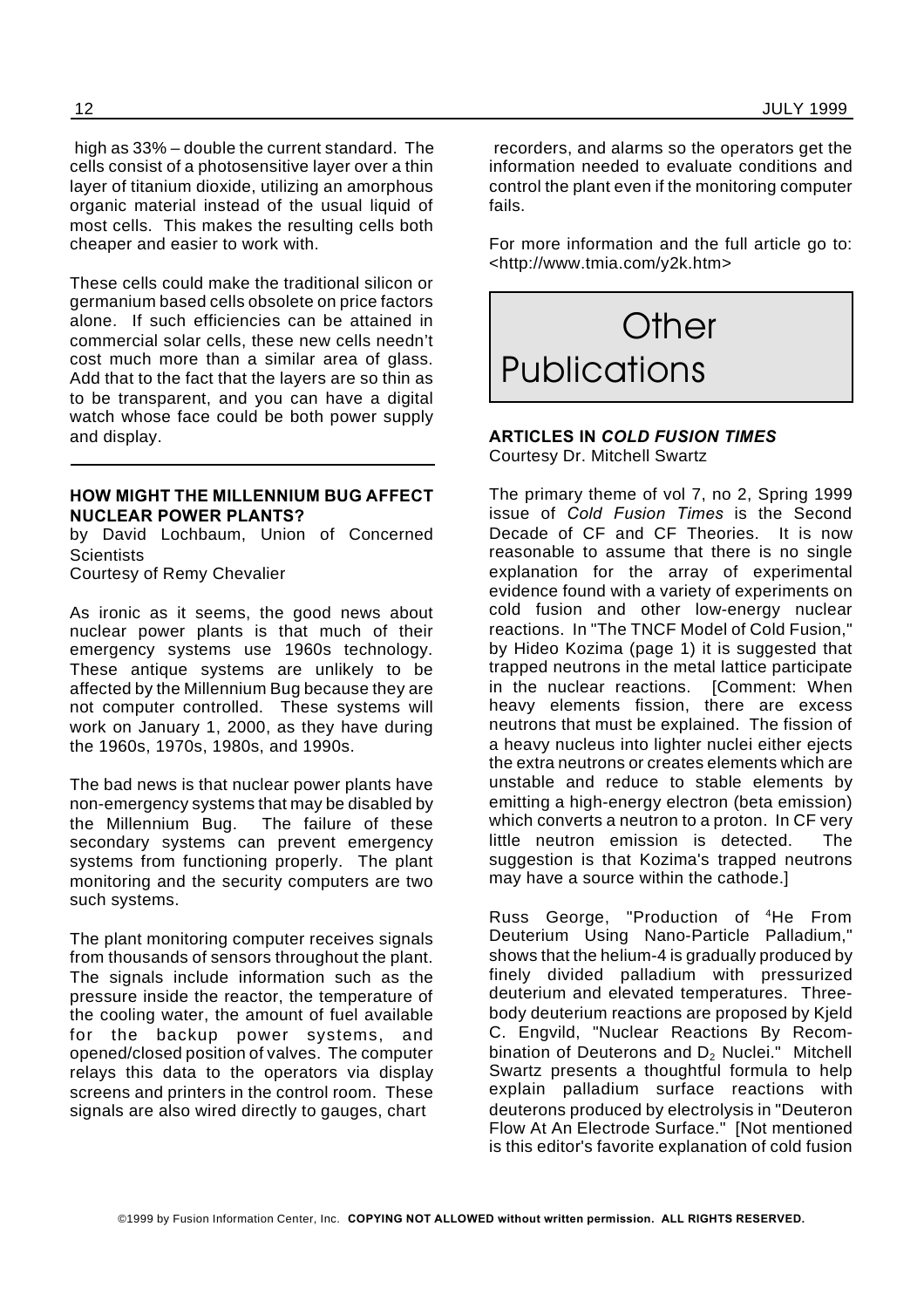high as 33% – double the current standard. The cells consist of a photosensitive layer over a thin layer of titanium dioxide, utilizing an amorphous organic material instead of the usual liquid of most cells. This makes the resulting cells both cheaper and easier to work with.

These cells could make the traditional silicon or germanium based cells obsolete on price factors alone. If such efficiencies can be attained in commercial solar cells, these new cells needn't cost much more than a similar area of glass. Add that to the fact that the layers are so thin as to be transparent, and you can have a digital watch whose face could be both power supply and display.

#### **HOW MIGHT THE MILLENNIUM BUG AFFECT NUCLEAR POWER PLANTS?**

by David Lochbaum, Union of Concerned **Scientists** 

Courtesy of Remy Chevalier

As ironic as it seems, the good news about nuclear power plants is that much of their emergency systems use 1960s technology. These antique systems are unlikely to be affected by the Millennium Bug because they are not computer controlled. These systems will work on January 1, 2000, as they have during the 1960s, 1970s, 1980s, and 1990s.

The bad news is that nuclear power plants have non-emergency systems that may be disabled by the Millennium Bug. The failure of these secondary systems can prevent emergency systems from functioning properly. The plant monitoring and the security computers are two such systems.

The plant monitoring computer receives signals from thousands of sensors throughout the plant. The signals include information such as the pressure inside the reactor, the temperature of the cooling water, the amount of fuel available for the backup power systems, and opened/closed position of valves. The computer relays this data to the operators via display screens and printers in the control room. These signals are also wired directly to gauges, chart

recorders, and alarms so the operators get the information needed to evaluate conditions and control the plant even if the monitoring computer fails.

For more information and the full article go to: <http://www.tmia.com/y2k.htm>



#### **ARTICLES IN** *COLD FUSION TIMES* Courtesy Dr. Mitchell Swartz

The primary theme of vol 7, no 2, Spring 1999 issue of *Cold Fusion Times* is the Second Decade of CF and CF Theories. It is now reasonable to assume that there is no single explanation for the array of experimental evidence found with a variety of experiments on cold fusion and other low-energy nuclear reactions. In "The TNCF Model of Cold Fusion," by Hideo Kozima (page 1) it is suggested that trapped neutrons in the metal lattice participate in the nuclear reactions. [Comment: When heavy elements fission, there are excess neutrons that must be explained. The fission of a heavy nucleus into lighter nuclei either ejects the extra neutrons or creates elements which are unstable and reduce to stable elements by emitting a high-energy electron (beta emission) which converts a neutron to a proton. In CF very little neutron emission is detected. The suggestion is that Kozima's trapped neutrons may have a source within the cathode.]

Russ George, "Production of <sup>4</sup>He From Deuterium Using Nano-Particle Palladium," shows that the helium-4 is gradually produced by finely divided palladium with pressurized deuterium and elevated temperatures. Threebody deuterium reactions are proposed by Kjeld C. Engvild, "Nuclear Reactions By Recombination of Deuterons and D<sub>2</sub> Nuclei." Mitchell Swartz presents a thoughtful formula to help explain palladium surface reactions with deuterons produced by electrolysis in "Deuteron Flow At An Electrode Surface." [Not mentioned is this editor's favorite explanation of cold fusion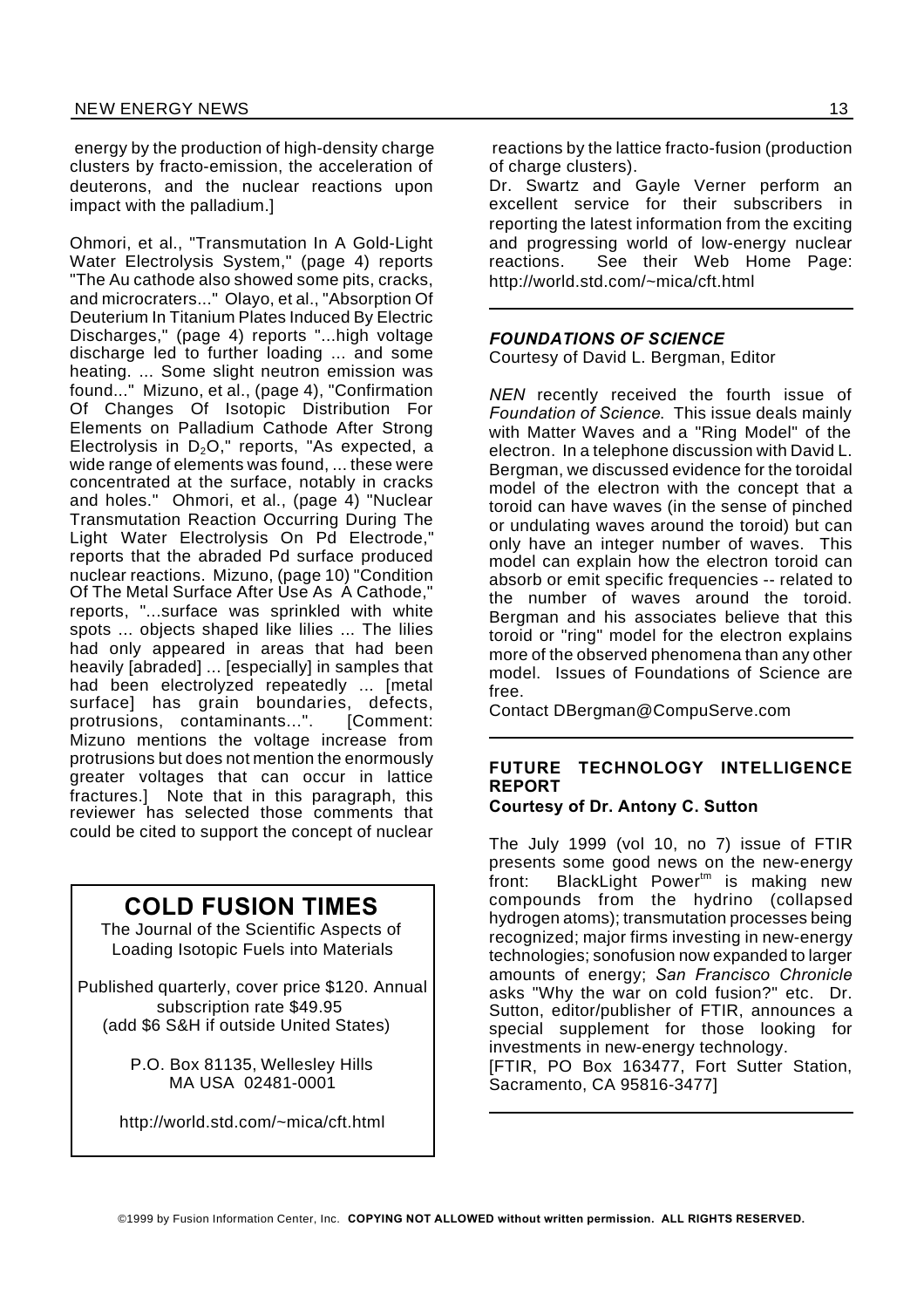energy by the production of high-density charge clusters by fracto-emission, the acceleration of deuterons, and the nuclear reactions upon impact with the palladium.]

Ohmori, et al., "Transmutation In A Gold-Light Water Electrolysis System," (page 4) reports "The Au cathode also showed some pits, cracks, and microcraters..." Olayo, et al., "Absorption Of Deuterium In Titanium Plates Induced By Electric Discharges," (page 4) reports "...high voltage discharge led to further loading ... and some heating. ... Some slight neutron emission was found..." Mizuno, et al., (page 4), "Confirmation Of Changes Of Isotopic Distribution For Elements on Palladium Cathode After Strong Electrolysis in  $D_2O$ ," reports, "As expected, a wide range of elements was found, ... these were concentrated at the surface, notably in cracks and holes." Ohmori, et al., (page 4) "Nuclear Transmutation Reaction Occurring During The Light Water Electrolysis On Pd Electrode," reports that the abraded Pd surface produced nuclear reactions. Mizuno, (page 10) "Condition Of The Metal Surface After Use As A Cathode," reports, "...surface was sprinkled with white spots ... objects shaped like lilies ... The lilies had only appeared in areas that had been heavily [abraded] ... [especially] in samples that had been electrolyzed repeatedly ... [metal surface] has grain boundaries, defects, protrusions, contaminants...". [Comment: Mizuno mentions the voltage increase from protrusions but does not mention the enormously greater voltages that can occur in lattice fractures.] Note that in this paragraph, this reviewer has selected those comments that could be cited to support the concept of nuclear

### **COLD FUSION TIMES**

The Journal of the Scientific Aspects of Loading Isotopic Fuels into Materials

Published quarterly, cover price \$120. Annual subscription rate \$49.95 (add \$6 S&H if outside United States)

> P.O. Box 81135, Wellesley Hills MA USA 02481-0001

http://world.std.com/~mica/cft.html

reactions by the lattice fracto-fusion (production of charge clusters).

Dr. Swartz and Gayle Verner perform an excellent service for their subscribers in reporting the latest information from the exciting and progressing world of low-energy nuclear reactions. See their Web Home Page: http://world.std.com/~mica/cft.html

#### *FOUNDATIONS OF SCIENCE*

Courtesy of David L. Bergman, Editor

*NEN* recently received the fourth issue of *Foundation of Science*. This issue deals mainly with Matter Waves and a "Ring Model" of the electron. In a telephone discussion with David L. Bergman, we discussed evidence for the toroidal model of the electron with the concept that a toroid can have waves (in the sense of pinched or undulating waves around the toroid) but can only have an integer number of waves. This model can explain how the electron toroid can absorb or emit specific frequencies -- related to the number of waves around the toroid. Bergman and his associates believe that this toroid or "ring" model for the electron explains more of the observed phenomena than any other model. Issues of Foundations of Science are free.

Contact DBergman@CompuServe.com

### **FUTURE TECHNOLOGY INTELLIGENCE REPORT**

#### **Courtesy of Dr. Antony C. Sutton**

The July 1999 (vol 10, no 7) issue of FTIR presents some good news on the new-energy front: BlackLight Power<sup>tm</sup> is making new compounds from the hydrino (collapsed hydrogen atoms); transmutation processes being recognized; major firms investing in new-energy technologies; sonofusion now expanded to larger amounts of energy; *San Francisco Chronicle* asks "Why the war on cold fusion?" etc. Dr. Sutton, editor/publisher of FTIR, announces a special supplement for those looking for investments in new-energy technology. [FTIR, PO Box 163477, Fort Sutter Station,

Sacramento, CA 95816-3477]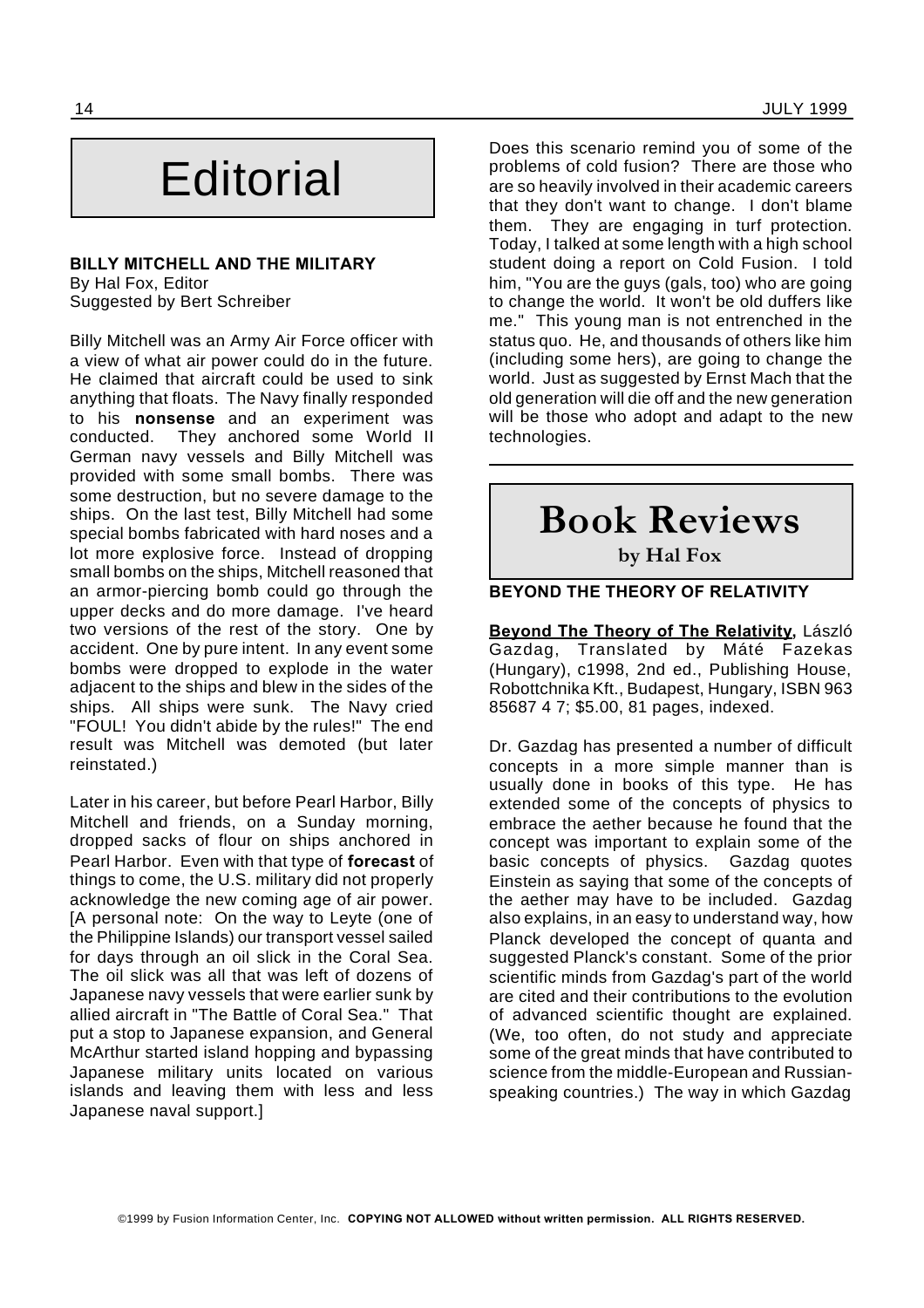# **Editorial**

#### **BILLY MITCHELL AND THE MILITARY** By Hal Fox, Editor

Suggested by Bert Schreiber

Billy Mitchell was an Army Air Force officer with a view of what air power could do in the future. He claimed that aircraft could be used to sink anything that floats. The Navy finally responded to his **nonsense** and an experiment was conducted. They anchored some World II German navy vessels and Billy Mitchell was provided with some small bombs. There was some destruction, but no severe damage to the ships. On the last test, Billy Mitchell had some special bombs fabricated with hard noses and a lot more explosive force. Instead of dropping small bombs on the ships, Mitchell reasoned that an armor-piercing bomb could go through the upper decks and do more damage. I've heard two versions of the rest of the story. One by accident. One by pure intent. In any event some bombs were dropped to explode in the water adjacent to the ships and blew in the sides of the ships. All ships were sunk. The Navy cried "FOUL! You didn't abide by the rules!" The end result was Mitchell was demoted (but later reinstated.)

Later in his career, but before Pearl Harbor, Billy Mitchell and friends, on a Sunday morning, dropped sacks of flour on ships anchored in Pearl Harbor. Even with that type of **forecast** of things to come, the U.S. military did not properly acknowledge the new coming age of air power. [A personal note: On the way to Leyte (one of the Philippine Islands) our transport vessel sailed for days through an oil slick in the Coral Sea. The oil slick was all that was left of dozens of Japanese navy vessels that were earlier sunk by allied aircraft in "The Battle of Coral Sea." That put a stop to Japanese expansion, and General McArthur started island hopping and bypassing Japanese military units located on various islands and leaving them with less and less Japanese naval support.]

Does this scenario remind you of some of the problems of cold fusion? There are those who are so heavily involved in their academic careers that they don't want to change. I don't blame them. They are engaging in turf protection. Today, I talked at some length with a high school student doing a report on Cold Fusion. I told him, "You are the guys (gals, too) who are going to change the world. It won't be old duffers like me." This young man is not entrenched in the status quo. He, and thousands of others like him (including some hers), are going to change the world. Just as suggested by Ernst Mach that the old generation will die off and the new generation will be those who adopt and adapt to the new technologies.

## **Book Reviews**

**by Hal Fox**

**BEYOND THE THEORY OF RELATIVITY**

**Beyond The Theory of The Relativity,** László Gazdag, Translated by Máté Fazekas (Hungary), c1998, 2nd ed., Publishing House, Robottchnika Kft., Budapest, Hungary, ISBN 963 85687 4 7; \$5.00, 81 pages, indexed.

Dr. Gazdag has presented a number of difficult concepts in a more simple manner than is usually done in books of this type. He has extended some of the concepts of physics to embrace the aether because he found that the concept was important to explain some of the basic concepts of physics. Gazdag quotes Einstein as saying that some of the concepts of the aether may have to be included. Gazdag also explains, in an easy to understand way, how Planck developed the concept of quanta and suggested Planck's constant. Some of the prior scientific minds from Gazdag's part of the world are cited and their contributions to the evolution of advanced scientific thought are explained. (We, too often, do not study and appreciate some of the great minds that have contributed to science from the middle-European and Russianspeaking countries.) The way in which Gazdag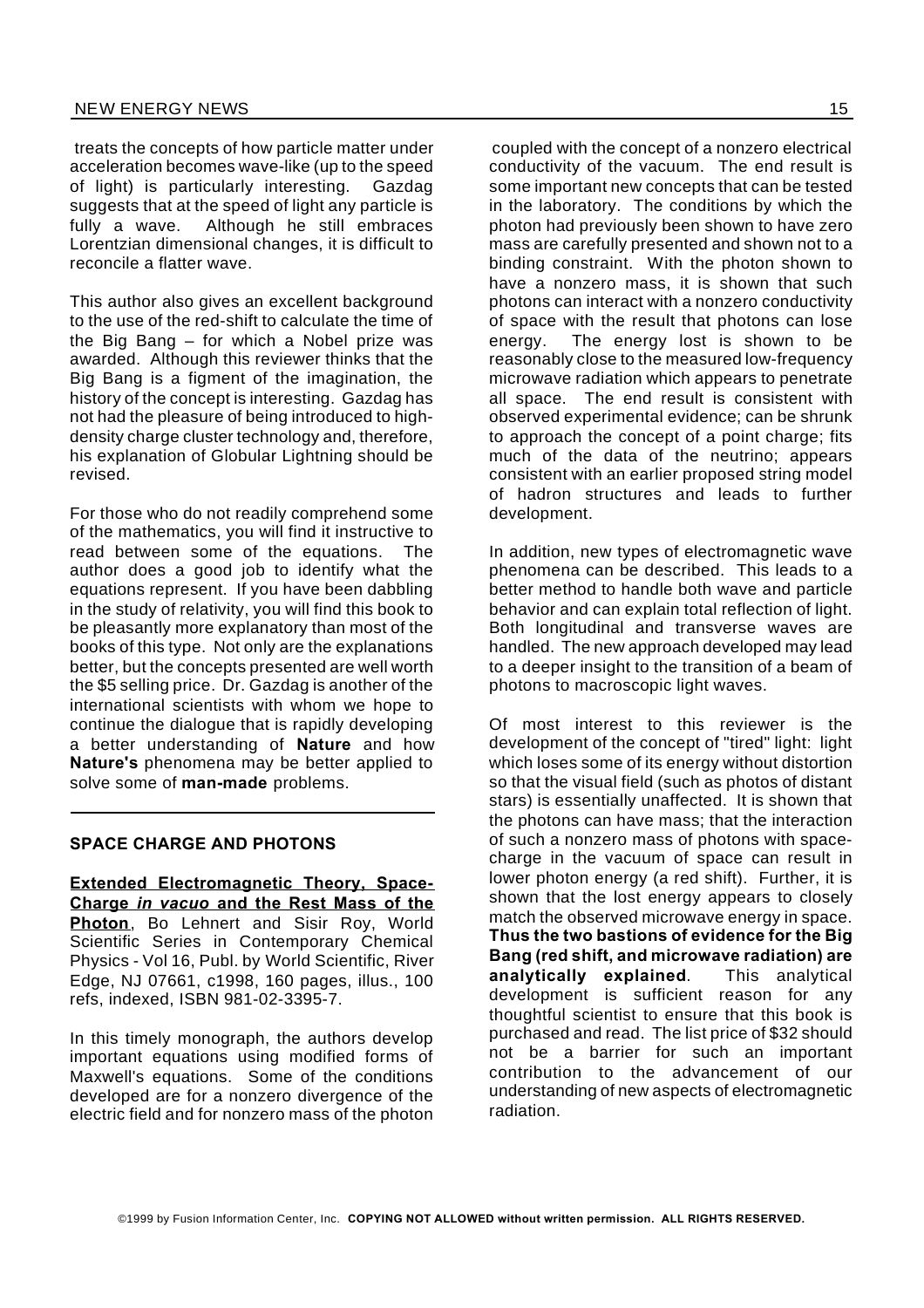treats the concepts of how particle matter under acceleration becomes wave-like (up to the speed of light) is particularly interesting. Gazdag suggests that at the speed of light any particle is fully a wave. Although he still embraces Lorentzian dimensional changes, it is difficult to reconcile a flatter wave.

This author also gives an excellent background to the use of the red-shift to calculate the time of the Big Bang – for which a Nobel prize was awarded. Although this reviewer thinks that the Big Bang is a figment of the imagination, the history of the concept is interesting. Gazdag has not had the pleasure of being introduced to highdensity charge cluster technology and, therefore, his explanation of Globular Lightning should be revised.

For those who do not readily comprehend some of the mathematics, you will find it instructive to read between some of the equations. The author does a good job to identify what the equations represent. If you have been dabbling in the study of relativity, you will find this book to be pleasantly more explanatory than most of the books of this type. Not only are the explanations better, but the concepts presented are well worth the \$5 selling price. Dr. Gazdag is another of the international scientists with whom we hope to continue the dialogue that is rapidly developing a better understanding of **Nature** and how **Nature's** phenomena may be better applied to solve some of **man-made** problems.

#### **SPACE CHARGE AND PHOTONS**

**Extended Electromagnetic Theory, Space-Charge** *in vacuo* **and the Rest Mass of the Photon**, Bo Lehnert and Sisir Roy, World Scientific Series in Contemporary Chemical Physics - Vol 16, Publ. by World Scientific, River Edge, NJ 07661, c1998, 160 pages, illus., 100 refs, indexed, ISBN 981-02-3395-7.

In this timely monograph, the authors develop important equations using modified forms of Maxwell's equations. Some of the conditions developed are for a nonzero divergence of the electric field and for nonzero mass of the photon

coupled with the concept of a nonzero electrical conductivity of the vacuum. The end result is some important new concepts that can be tested in the laboratory. The conditions by which the photon had previously been shown to have zero mass are carefully presented and shown not to a binding constraint. With the photon shown to have a nonzero mass, it is shown that such photons can interact with a nonzero conductivity of space with the result that photons can lose energy. The energy lost is shown to be reasonably close to the measured low-frequency microwave radiation which appears to penetrate all space. The end result is consistent with observed experimental evidence; can be shrunk to approach the concept of a point charge; fits much of the data of the neutrino; appears consistent with an earlier proposed string model of hadron structures and leads to further development.

In addition, new types of electromagnetic wave phenomena can be described. This leads to a better method to handle both wave and particle behavior and can explain total reflection of light. Both longitudinal and transverse waves are handled. The new approach developed may lead to a deeper insight to the transition of a beam of photons to macroscopic light waves.

Of most interest to this reviewer is the development of the concept of "tired" light: light which loses some of its energy without distortion so that the visual field (such as photos of distant stars) is essentially unaffected. It is shown that the photons can have mass; that the interaction of such a nonzero mass of photons with spacecharge in the vacuum of space can result in lower photon energy (a red shift). Further, it is shown that the lost energy appears to closely match the observed microwave energy in space. **Thus the two bastions of evidence for the Big Bang (red shift, and microwave radiation) are analytically explained**. This analytical development is sufficient reason for any thoughtful scientist to ensure that this book is purchased and read. The list price of \$32 should not be a barrier for such an important contribution to the advancement of our understanding of new aspects of electromagnetic radiation.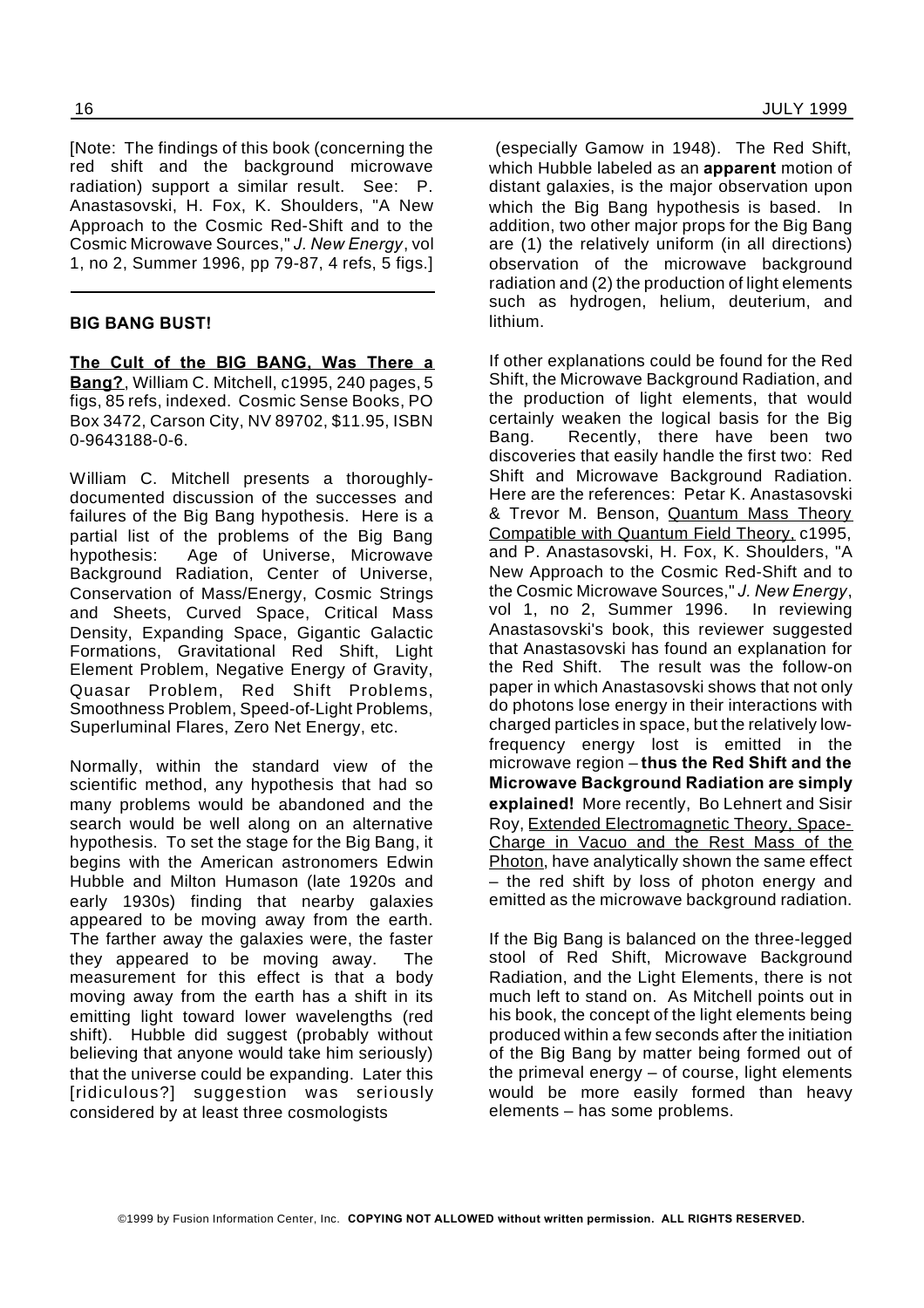[Note: The findings of this book (concerning the red shift and the background microwave radiation) support a similar result. See: P. Anastasovski, H. Fox, K. Shoulders, "A New Approach to the Cosmic Red-Shift and to the Cosmic Microwave Sources," *J. New Energy*, vol 1, no 2, Summer 1996, pp 79-87, 4 refs, 5 figs.]

#### **BIG BANG BUST!**

**The Cult of the BIG BANG, Was There a Bang?**, William C. Mitchell, c1995, 240 pages, 5 figs, 85 refs, indexed. Cosmic Sense Books, PO Box 3472, Carson City, NV 89702, \$11.95, ISBN 0-9643188-0-6.

William C. Mitchell presents a thoroughlydocumented discussion of the successes and failures of the Big Bang hypothesis. Here is a partial list of the problems of the Big Bang hypothesis: Age of Universe, Microwave Background Radiation, Center of Universe, Conservation of Mass/Energy, Cosmic Strings and Sheets, Curved Space, Critical Mass Density, Expanding Space, Gigantic Galactic Formations, Gravitational Red Shift, Light Element Problem, Negative Energy of Gravity, Quasar Problem, Red Shift Problems, Smoothness Problem, Speed-of-Light Problems, Superluminal Flares, Zero Net Energy, etc.

Normally, within the standard view of the scientific method, any hypothesis that had so many problems would be abandoned and the search would be well along on an alternative hypothesis. To set the stage for the Big Bang, it begins with the American astronomers Edwin Hubble and Milton Humason (late 1920s and early 1930s) finding that nearby galaxies appeared to be moving away from the earth. The farther away the galaxies were, the faster they appeared to be moving away. The measurement for this effect is that a body moving away from the earth has a shift in its emitting light toward lower wavelengths (red shift). Hubble did suggest (probably without believing that anyone would take him seriously) that the universe could be expanding. Later this [ridiculous?] suggestion was seriously considered by at least three cosmologists

(especially Gamow in 1948). The Red Shift, which Hubble labeled as an **apparent** motion of distant galaxies, is the major observation upon which the Big Bang hypothesis is based. In addition, two other major props for the Big Bang are (1) the relatively uniform (in all directions) observation of the microwave background radiation and (2) the production of light elements such as hydrogen, helium, deuterium, and lithium.

If other explanations could be found for the Red Shift, the Microwave Background Radiation, and the production of light elements, that would certainly weaken the logical basis for the Big Bang. Recently, there have been two discoveries that easily handle the first two: Red Shift and Microwave Background Radiation. Here are the references: Petar K. Anastasovski & Trevor M. Benson, Quantum Mass Theory Compatible with Quantum Field Theory, c1995, and P. Anastasovski, H. Fox, K. Shoulders, "A New Approach to the Cosmic Red-Shift and to the Cosmic Microwave Sources," *J. New Energy*, vol 1, no 2, Summer 1996. In reviewing Anastasovski's book, this reviewer suggested that Anastasovski has found an explanation for the Red Shift. The result was the follow-on paper in which Anastasovski shows that not only do photons lose energy in their interactions with charged particles in space, but the relatively lowfrequency energy lost is emitted in the microwave region – **thus the Red Shift and the Microwave Background Radiation are simply explained!** More recently, Bo Lehnert and Sisir Roy, Extended Electromagnetic Theory, Space-Charge in Vacuo and the Rest Mass of the Photon, have analytically shown the same effect – the red shift by loss of photon energy and emitted as the microwave background radiation.

If the Big Bang is balanced on the three-legged stool of Red Shift, Microwave Background Radiation, and the Light Elements, there is not much left to stand on. As Mitchell points out in his book, the concept of the light elements being produced within a few seconds after the initiation of the Big Bang by matter being formed out of the primeval energy – of course, light elements would be more easily formed than heavy elements – has some problems.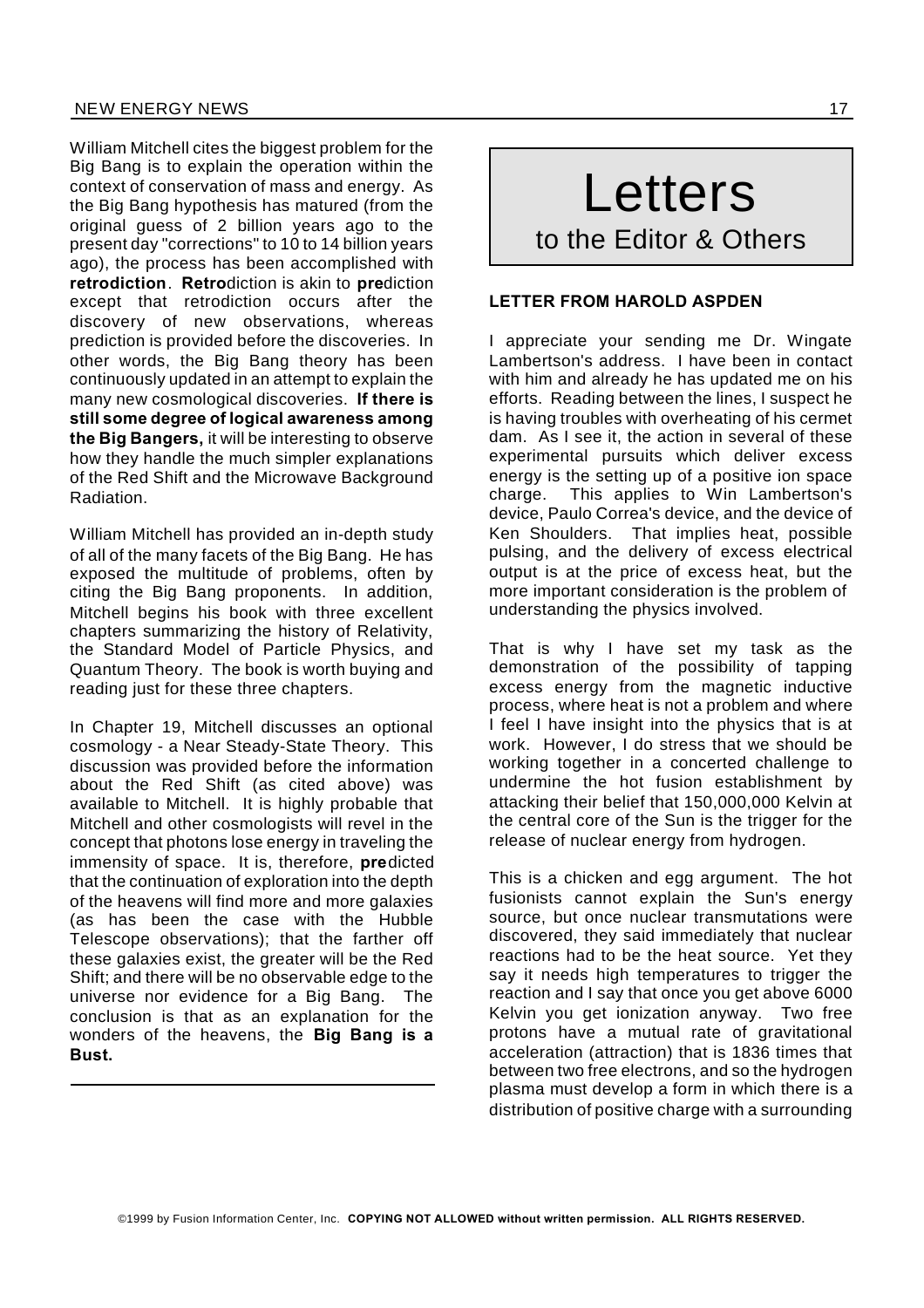William Mitchell cites the biggest problem for the Big Bang is to explain the operation within the context of conservation of mass and energy. As the Big Bang hypothesis has matured (from the original guess of 2 billion years ago to the present day "corrections" to 10 to 14 billion years ago), the process has been accomplished with **retrodiction**. **Retro**diction is akin to **pre**diction except that retrodiction occurs after the discovery of new observations, whereas prediction is provided before the discoveries. In other words, the Big Bang theory has been continuously updated in an attempt to explain the many new cosmological discoveries. **If there is still some degree of logical awareness among the Big Bangers,** it will be interesting to observe how they handle the much simpler explanations of the Red Shift and the Microwave Background Radiation.

William Mitchell has provided an in-depth study of all of the many facets of the Big Bang. He has exposed the multitude of problems, often by citing the Big Bang proponents. In addition, Mitchell begins his book with three excellent chapters summarizing the history of Relativity, the Standard Model of Particle Physics, and Quantum Theory. The book is worth buying and reading just for these three chapters.

In Chapter 19, Mitchell discusses an optional cosmology - a Near Steady-State Theory. This discussion was provided before the information about the Red Shift (as cited above) was available to Mitchell. It is highly probable that Mitchell and other cosmologists will revel in the concept that photons lose energy in traveling the immensity of space. It is, therefore, **pre**dicted that the continuation of exploration into the depth of the heavens will find more and more galaxies (as has been the case with the Hubble Telescope observations); that the farther off these galaxies exist, the greater will be the Red Shift; and there will be no observable edge to the universe nor evidence for a Big Bang. The conclusion is that as an explanation for the wonders of the heavens, the **Big Bang is a Bust.**

# Letters to the Editor & Others

#### **LETTER FROM HAROLD ASPDEN**

I appreciate your sending me Dr. Wingate Lambertson's address. I have been in contact with him and already he has updated me on his efforts. Reading between the lines, I suspect he is having troubles with overheating of his cermet dam. As I see it, the action in several of these experimental pursuits which deliver excess energy is the setting up of a positive ion space charge. This applies to Win Lambertson's device, Paulo Correa's device, and the device of Ken Shoulders. That implies heat, possible pulsing, and the delivery of excess electrical output is at the price of excess heat, but the more important consideration is the problem of understanding the physics involved.

That is why I have set my task as the demonstration of the possibility of tapping excess energy from the magnetic inductive process, where heat is not a problem and where I feel I have insight into the physics that is at work. However, I do stress that we should be working together in a concerted challenge to undermine the hot fusion establishment by attacking their belief that 150,000,000 Kelvin at the central core of the Sun is the trigger for the release of nuclear energy from hydrogen.

This is a chicken and egg argument. The hot fusionists cannot explain the Sun's energy source, but once nuclear transmutations were discovered, they said immediately that nuclear reactions had to be the heat source. Yet they say it needs high temperatures to trigger the reaction and I say that once you get above 6000 Kelvin you get ionization anyway. Two free protons have a mutual rate of gravitational acceleration (attraction) that is 1836 times that between two free electrons, and so the hydrogen plasma must develop a form in which there is a distribution of positive charge with a surrounding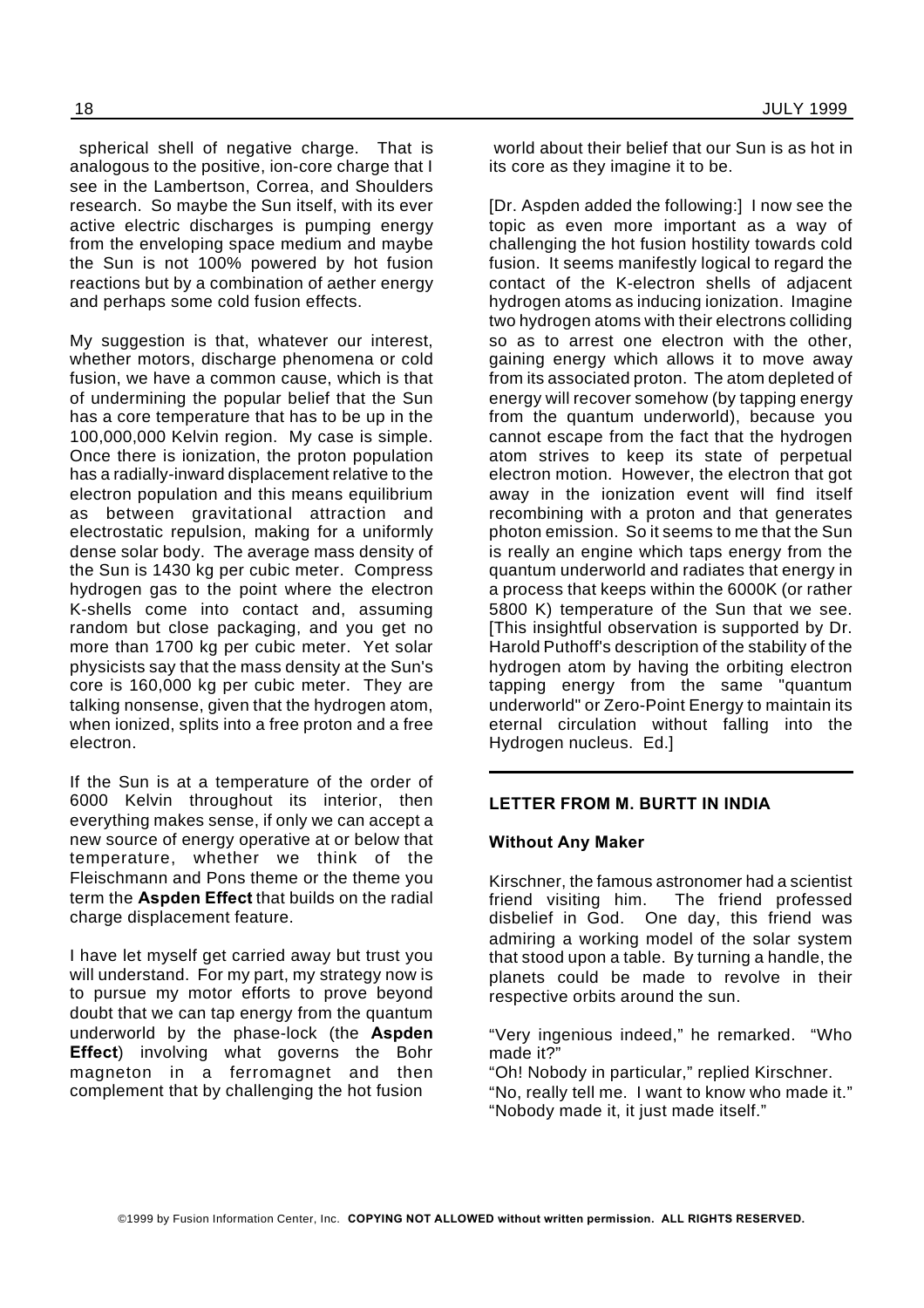spherical shell of negative charge. That is analogous to the positive, ion-core charge that I see in the Lambertson, Correa, and Shoulders research. So maybe the Sun itself, with its ever active electric discharges is pumping energy from the enveloping space medium and maybe the Sun is not 100% powered by hot fusion reactions but by a combination of aether energy and perhaps some cold fusion effects.

My suggestion is that, whatever our interest. whether motors, discharge phenomena or cold fusion, we have a common cause, which is that of undermining the popular belief that the Sun has a core temperature that has to be up in the 100,000,000 Kelvin region. My case is simple. Once there is ionization, the proton population has a radially-inward displacement relative to the electron population and this means equilibrium as between gravitational attraction and electrostatic repulsion, making for a uniformly dense solar body. The average mass density of the Sun is 1430 kg per cubic meter. Compress hydrogen gas to the point where the electron K-shells come into contact and, assuming random but close packaging, and you get no more than 1700 kg per cubic meter. Yet solar physicists say that the mass density at the Sun's core is 160,000 kg per cubic meter. They are talking nonsense, given that the hydrogen atom, when ionized, splits into a free proton and a free electron.

If the Sun is at a temperature of the order of 6000 Kelvin throughout its interior, then everything makes sense, if only we can accept a new source of energy operative at or below that temperature, whether we think of the Fleischmann and Pons theme or the theme you term the **Aspden Effect** that builds on the radial charge displacement feature.

I have let myself get carried away but trust you will understand. For my part, my strategy now is to pursue my motor efforts to prove beyond doubt that we can tap energy from the quantum underworld by the phase-lock (the **Aspden Effect**) involving what governs the Bohr magneton in a ferromagnet and then complement that by challenging the hot fusion

world about their belief that our Sun is as hot in its core as they imagine it to be.

[Dr. Aspden added the following:] I now see the topic as even more important as a way of challenging the hot fusion hostility towards cold fusion. It seems manifestly logical to regard the contact of the K-electron shells of adjacent hydrogen atoms as inducing ionization. Imagine two hydrogen atoms with their electrons colliding so as to arrest one electron with the other, gaining energy which allows it to move away from its associated proton. The atom depleted of energy will recover somehow (by tapping energy from the quantum underworld), because you cannot escape from the fact that the hydrogen atom strives to keep its state of perpetual electron motion. However, the electron that got away in the ionization event will find itself recombining with a proton and that generates photon emission. So it seems to me that the Sun is really an engine which taps energy from the quantum underworld and radiates that energy in a process that keeps within the 6000K (or rather 5800 K) temperature of the Sun that we see. [This insightful observation is supported by Dr. Harold Puthoff's description of the stability of the hydrogen atom by having the orbiting electron tapping energy from the same "quantum underworld" or Zero-Point Energy to maintain its eternal circulation without falling into the Hydrogen nucleus. Ed.]

#### **LETTER FROM M. BURTT IN INDIA**

#### **Without Any Maker**

Kirschner, the famous astronomer had a scientist friend visiting him. The friend professed disbelief in God. One day, this friend was admiring a working model of the solar system that stood upon a table. By turning a handle, the planets could be made to revolve in their respective orbits around the sun.

"Very ingenious indeed," he remarked. "Who made it?"

"Oh! Nobody in particular," replied Kirschner.

"No, really tell me. I want to know who made it." "Nobody made it, it just made itself."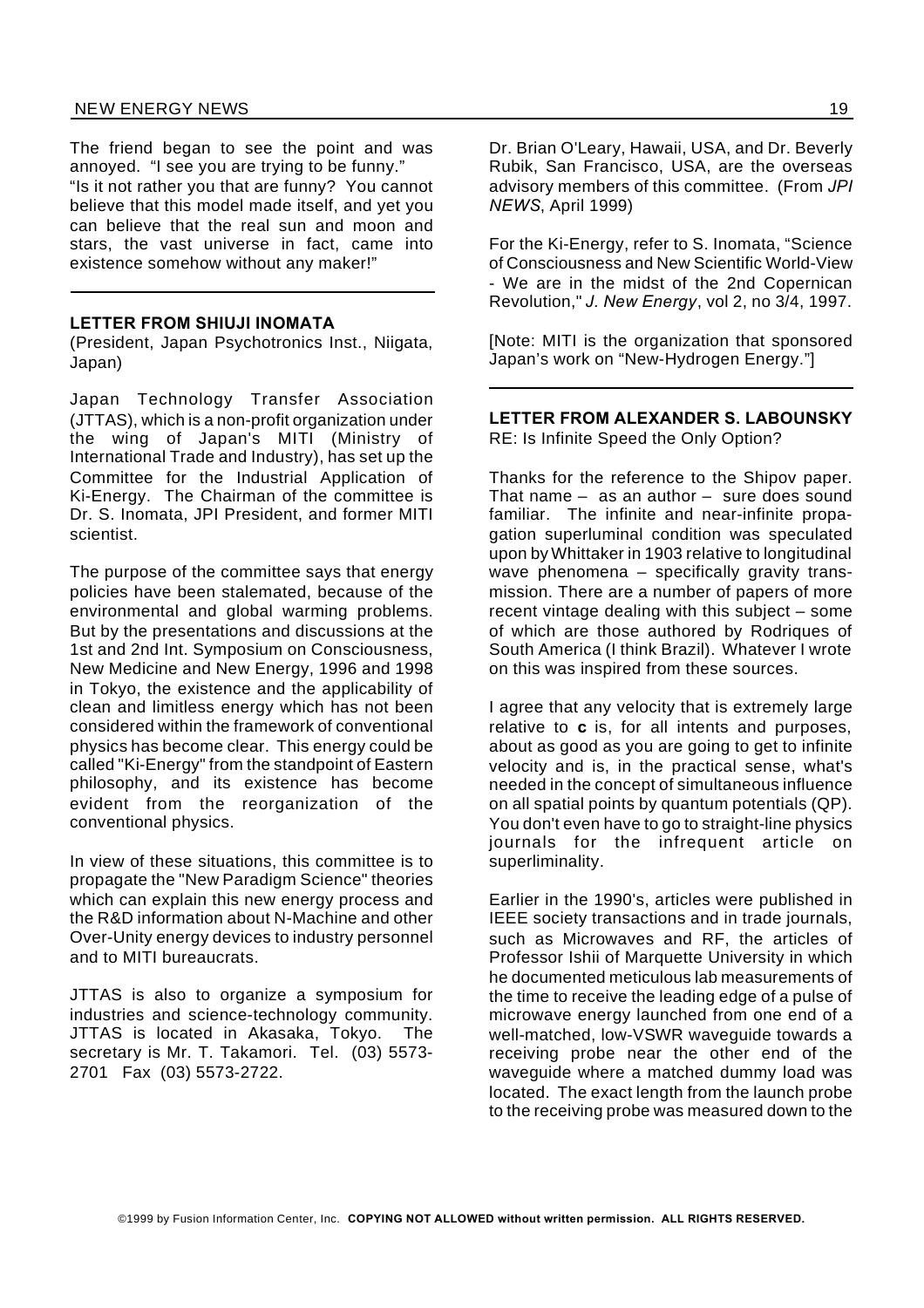#### NEW ENERGY NEWS 19

The friend began to see the point and was annoyed. "I see you are trying to be funny."

"Is it not rather you that are funny? You cannot believe that this model made itself, and yet you can believe that the real sun and moon and stars, the vast universe in fact, came into existence somehow without any maker!"

#### **LETTER FROM SHIUJI INOMATA**

(President, Japan Psychotronics Inst., Niigata, Japan)

Japan Technology Transfer Association (JTTAS), which is a non-profit organization under the wing of Japan's MITI (Ministry of International Trade and Industry), has set up the Committee for the Industrial Application of Ki-Energy. The Chairman of the committee is Dr. S. Inomata, JPI President, and former MITI scientist.

The purpose of the committee says that energy policies have been stalemated, because of the environmental and global warming problems. But by the presentations and discussions at the 1st and 2nd Int. Symposium on Consciousness, New Medicine and New Energy, 1996 and 1998 in Tokyo, the existence and the applicability of clean and limitless energy which has not been considered within the framework of conventional physics has become clear. This energy could be called "Ki-Energy" from the standpoint of Eastern philosophy, and its existence has become evident from the reorganization of the conventional physics.

In view of these situations, this committee is to propagate the "New Paradigm Science" theories which can explain this new energy process and the R&D information about N-Machine and other Over-Unity energy devices to industry personnel and to MITI bureaucrats.

JTTAS is also to organize a symposium for industries and science-technology community. JTTAS is located in Akasaka, Tokyo. The secretary is Mr. T. Takamori. Tel. (03) 5573- 2701 Fax (03) 5573-2722.

Dr. Brian O'Leary, Hawaii, USA, and Dr. Beverly Rubik, San Francisco, USA, are the overseas advisory members of this committee. (From *JPI NEWS*, April 1999)

For the Ki-Energy, refer to S. Inomata, "Science of Consciousness and New Scientific World-View - We are in the midst of the 2nd Copernican Revolution," *J. New Energy*, vol 2, no 3/4, 1997.

[Note: MITI is the organization that sponsored Japan's work on "New-Hydrogen Energy."]

#### **LETTER FROM ALEXANDER S. LABOUNSKY** RE: Is Infinite Speed the Only Option?

Thanks for the reference to the Shipov paper. That name  $-$  as an author  $-$  sure does sound familiar. The infinite and near-infinite propagation superluminal condition was speculated upon by Whittaker in 1903 relative to longitudinal wave phenomena – specifically gravity transmission. There are a number of papers of more recent vintage dealing with this subject – some of which are those authored by Rodriques of South America (I think Brazil). Whatever I wrote on this was inspired from these sources.

I agree that any velocity that is extremely large relative to **c** is, for all intents and purposes, about as good as you are going to get to infinite velocity and is, in the practical sense, what's needed in the concept of simultaneous influence on all spatial points by quantum potentials (QP). You don't even have to go to straight-line physics journals for the infrequent article on superliminality.

Earlier in the 1990's, articles were published in IEEE society transactions and in trade journals, such as Microwaves and RF, the articles of Professor Ishii of Marquette University in which he documented meticulous lab measurements of the time to receive the leading edge of a pulse of microwave energy launched from one end of a well-matched, low-VSWR waveguide towards a receiving probe near the other end of the waveguide where a matched dummy load was located. The exact length from the launch probe to the receiving probe was measured down to the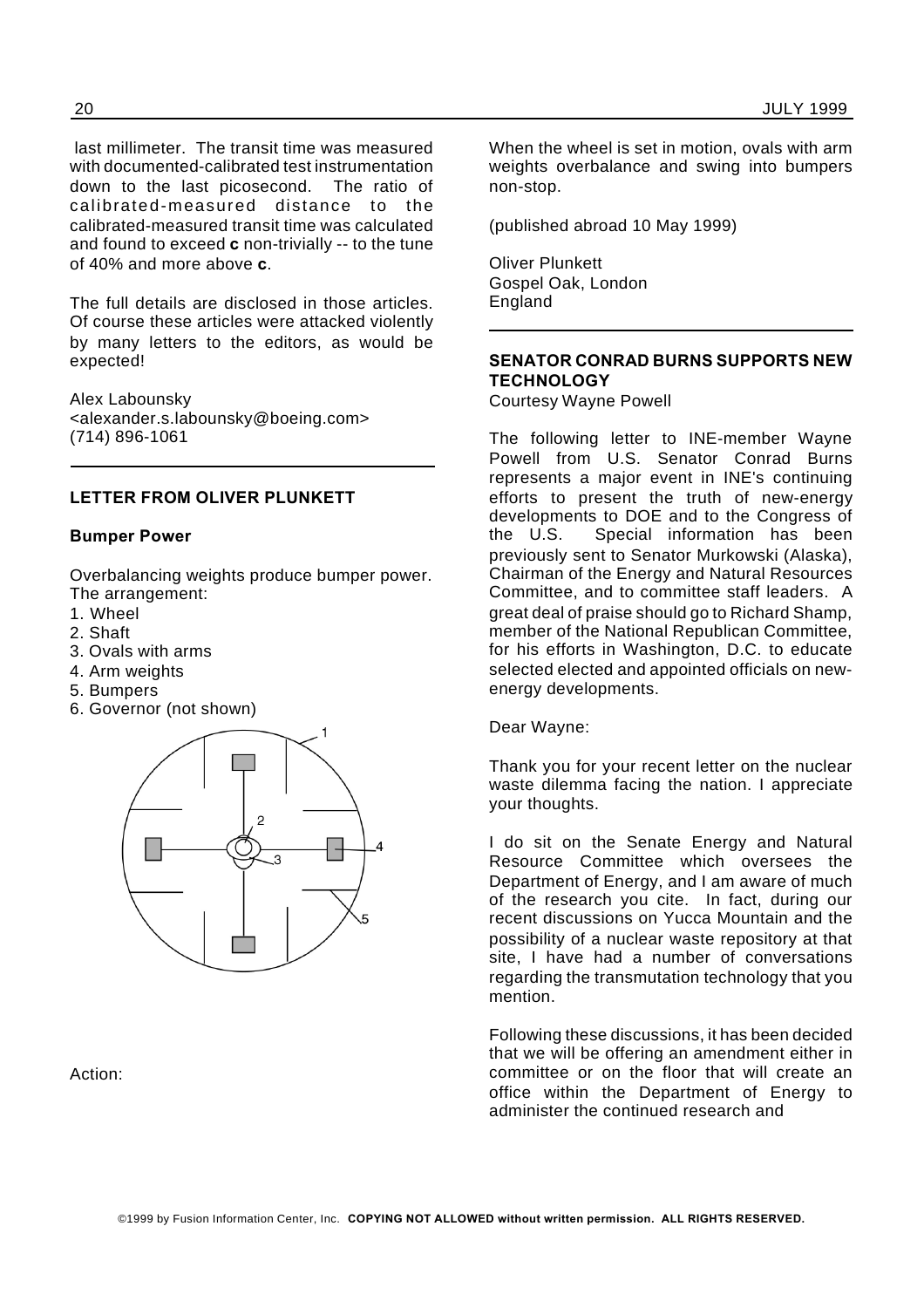last millimeter. The transit time was measured with documented-calibrated test instrumentation down to the last picosecond. The ratio of calibrated-measured distance to the calibrated-measured transit time was calculated and found to exceed **c** non-trivially -- to the tune of 40% and more above **c**.

The full details are disclosed in those articles. Of course these articles were attacked violently by many letters to the editors, as would be expected!

Alex Labounsky <alexander.s.labounsky@boeing.com> (714) 896-1061

#### **LETTER FROM OLIVER PLUNKETT**

#### **Bumper Power**

Overbalancing weights produce bumper power. The arrangement:

- 1. Wheel
- 2. Shaft
- 3. Ovals with arms
- 4. Arm weights
- 5. Bumpers
- 6. Governor (not shown)



Action:

When the wheel is set in motion, ovals with arm weights overbalance and swing into bumpers non-stop.

(published abroad 10 May 1999)

Oliver Plunkett Gospel Oak, London England

#### **SENATOR CONRAD BURNS SUPPORTS NEW TECHNOLOGY**

Courtesy Wayne Powell

The following letter to INE-member Wayne Powell from U.S. Senator Conrad Burns represents a major event in INE's continuing efforts to present the truth of new-energy developments to DOE and to the Congress of the U.S. Special information has been previously sent to Senator Murkowski (Alaska), Chairman of the Energy and Natural Resources Committee, and to committee staff leaders. A great deal of praise should go to Richard Shamp, member of the National Republican Committee, for his efforts in Washington, D.C. to educate selected elected and appointed officials on newenergy developments.

Dear Wayne:

Thank you for your recent letter on the nuclear waste dilemma facing the nation. I appreciate your thoughts.

I do sit on the Senate Energy and Natural Resource Committee which oversees the Department of Energy, and I am aware of much of the research you cite. In fact, during our recent discussions on Yucca Mountain and the possibility of a nuclear waste repository at that site, I have had a number of conversations regarding the transmutation technology that you mention.

Following these discussions, it has been decided that we will be offering an amendment either in committee or on the floor that will create an office within the Department of Energy to administer the continued research and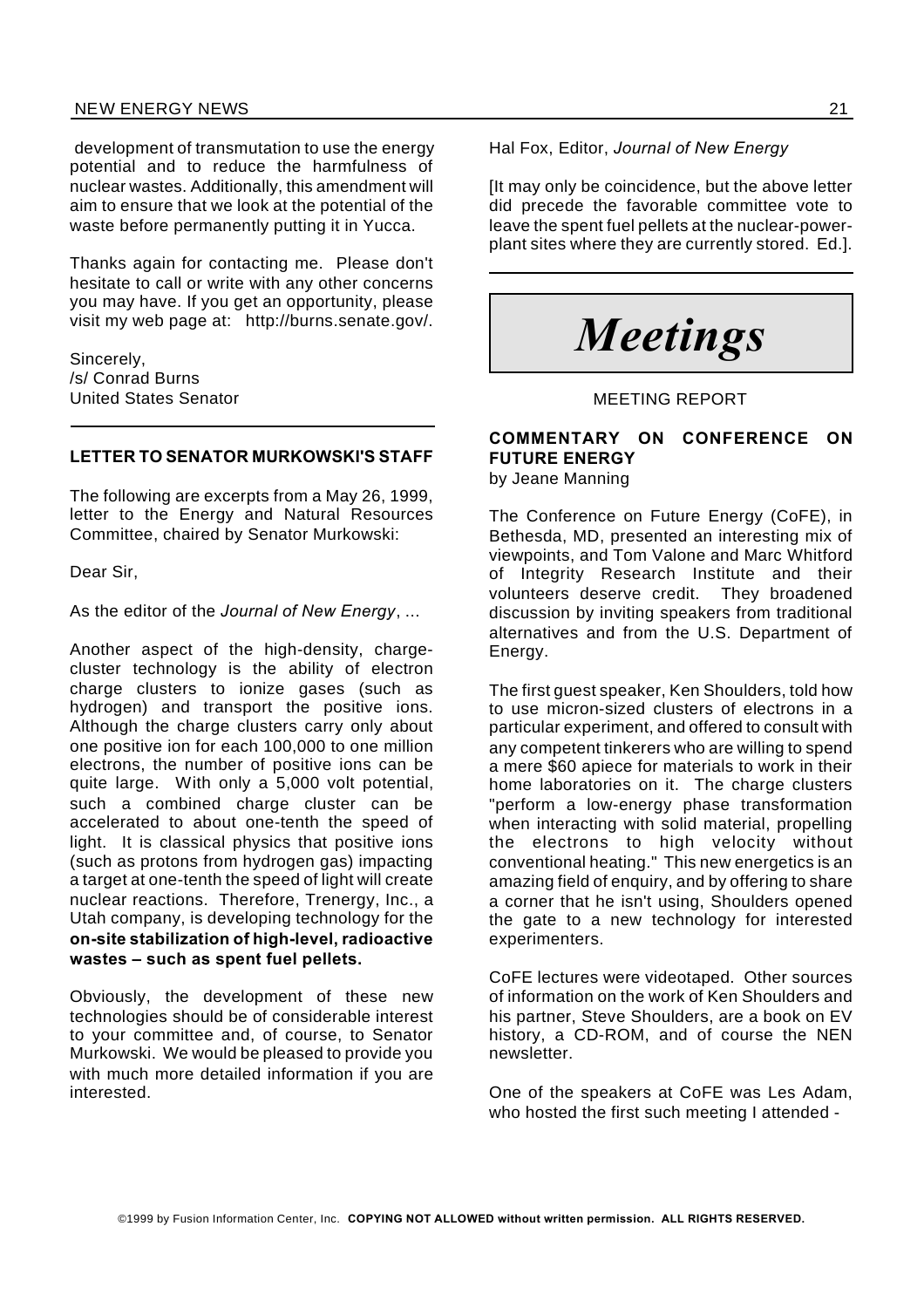#### NEW ENERGY NEWS 21

development of transmutation to use the energy potential and to reduce the harmfulness of nuclear wastes. Additionally, this amendment will aim to ensure that we look at the potential of the waste before permanently putting it in Yucca.

Thanks again for contacting me. Please don't hesitate to call or write with any other concerns you may have. If you get an opportunity, please visit my web page at: http://burns.senate.gov/.

Sincerely, /s/ Conrad Burns United States Senator

#### **LETTER TO SENATOR MURKOWSKI'S STAFF**

The following are excerpts from a May 26, 1999, letter to the Energy and Natural Resources Committee, chaired by Senator Murkowski:

Dear Sir,

As the editor of the *Journal of New Energy*, ...

Another aspect of the high-density, chargecluster technology is the ability of electron charge clusters to ionize gases (such as hydrogen) and transport the positive ions. Although the charge clusters carry only about one positive ion for each 100,000 to one million electrons, the number of positive ions can be quite large. With only a 5,000 volt potential, such a combined charge cluster can be accelerated to about one-tenth the speed of light. It is classical physics that positive ions (such as protons from hydrogen gas) impacting a target at one-tenth the speed of light will create nuclear reactions. Therefore, Trenergy, Inc., a Utah company, is developing technology for the **on-site stabilization of high-level, radioactive wastes – such as spent fuel pellets.**

Obviously, the development of these new technologies should be of considerable interest to your committee and, of course, to Senator Murkowski. We would be pleased to provide you with much more detailed information if you are interested.

Hal Fox, Editor, *Journal of New Energy*

It may only be coincidence, but the above letter did precede the favorable committee vote to leave the spent fuel pellets at the nuclear-powerplant sites where they are currently stored. Ed.].



#### MEETING REPORT

### **COMMENTARY ON CONFERENCE ON FUTURE ENERGY**

by Jeane Manning

The Conference on Future Energy (CoFE), in Bethesda, MD, presented an interesting mix of viewpoints, and Tom Valone and Marc Whitford of Integrity Research Institute and their volunteers deserve credit. They broadened discussion by inviting speakers from traditional alternatives and from the U.S. Department of Energy.

The first guest speaker, Ken Shoulders, told how to use micron-sized clusters of electrons in a particular experiment, and offered to consult with any competent tinkerers who are willing to spend a mere \$60 apiece for materials to work in their home laboratories on it. The charge clusters "perform a low-energy phase transformation when interacting with solid material, propelling the electrons to high velocity without conventional heating." This new energetics is an amazing field of enquiry, and by offering to share a corner that he isn't using, Shoulders opened the gate to a new technology for interested experimenters.

CoFE lectures were videotaped. Other sources of information on the work of Ken Shoulders and his partner, Steve Shoulders, are a book on EV history, a CD-ROM, and of course the NEN newsletter.

One of the speakers at CoFE was Les Adam, who hosted the first such meeting I attended -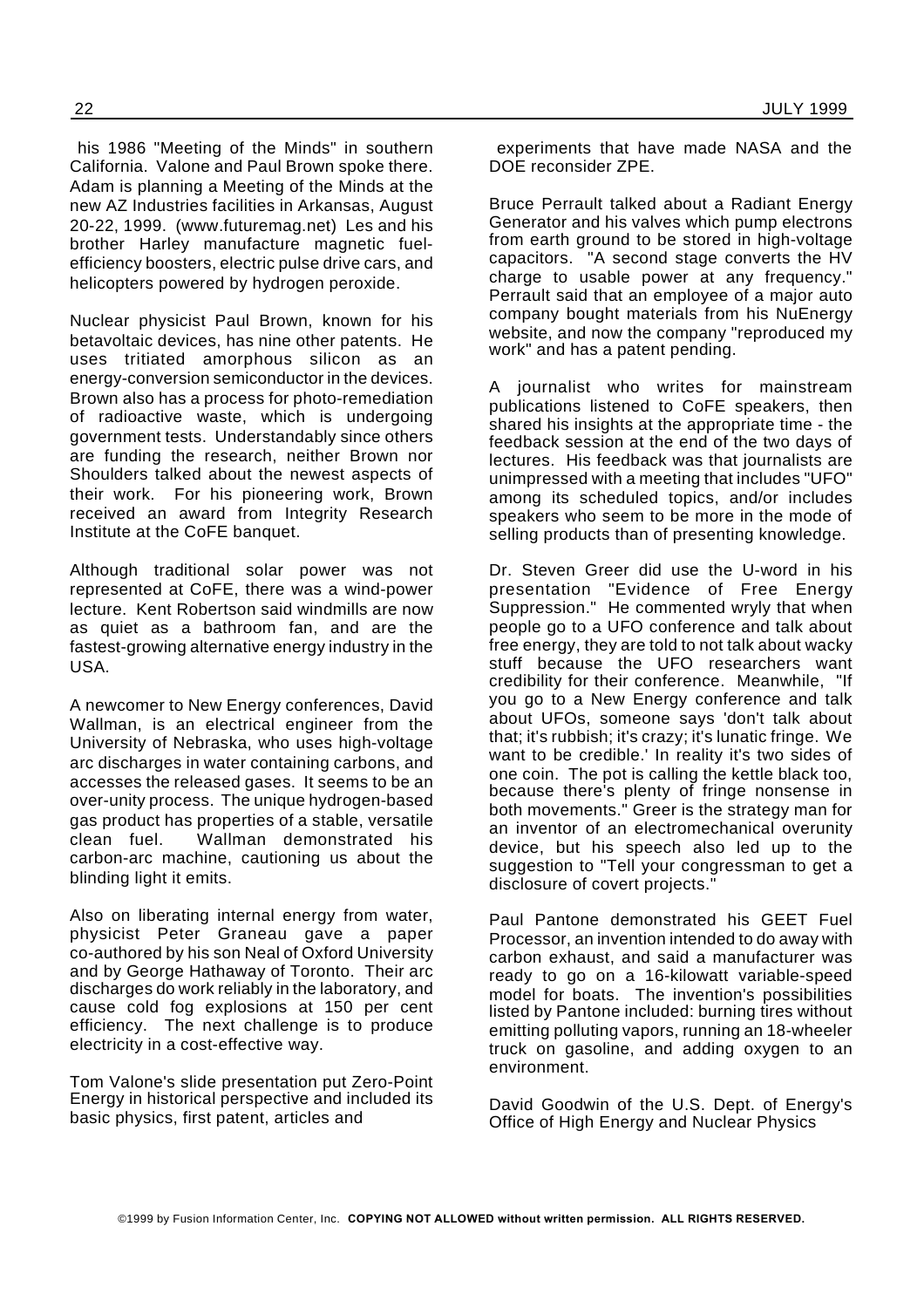his 1986 "Meeting of the Minds" in southern California. Valone and Paul Brown spoke there. Adam is planning a Meeting of the Minds at the new AZ Industries facilities in Arkansas, August 20-22, 1999. (www.futuremag.net) Les and his brother Harley manufacture magnetic fuelefficiency boosters, electric pulse drive cars, and helicopters powered by hydrogen peroxide.

Nuclear physicist Paul Brown, known for his betavoltaic devices, has nine other patents. He uses tritiated amorphous silicon as an energy-conversion semiconductor in the devices. Brown also has a process for photo-remediation of radioactive waste, which is undergoing government tests. Understandably since others are funding the research, neither Brown nor Shoulders talked about the newest aspects of their work. For his pioneering work, Brown received an award from Integrity Research Institute at the CoFE banquet.

Although traditional solar power was not represented at CoFE, there was a wind-power lecture. Kent Robertson said windmills are now as quiet as a bathroom fan, and are the fastest-growing alternative energy industry in the USA.

A newcomer to New Energy conferences, David Wallman, is an electrical engineer from the University of Nebraska, who uses high-voltage arc discharges in water containing carbons, and accesses the released gases. It seems to be an over-unity process. The unique hydrogen-based gas product has properties of a stable, versatile clean fuel. Wallman demonstrated his carbon-arc machine, cautioning us about the blinding light it emits.

Also on liberating internal energy from water, physicist Peter Graneau gave a paper co-authored by his son Neal of Oxford University and by George Hathaway of Toronto. Their arc discharges do work reliably in the laboratory, and cause cold fog explosions at 150 per cent efficiency. The next challenge is to produce electricity in a cost-effective way.

Tom Valone's slide presentation put Zero-Point Energy in historical perspective and included its basic physics, first patent, articles and

experiments that have made NASA and the DOE reconsider ZPE.

Bruce Perrault talked about a Radiant Energy Generator and his valves which pump electrons from earth ground to be stored in high-voltage capacitors. "A second stage converts the HV charge to usable power at any frequency." Perrault said that an employee of a major auto company bought materials from his NuEnergy website, and now the company "reproduced my work" and has a patent pending.

A journalist who writes for mainstream publications listened to CoFE speakers, then shared his insights at the appropriate time - the feedback session at the end of the two days of lectures. His feedback was that journalists are unimpressed with a meeting that includes "UFO" among its scheduled topics, and/or includes speakers who seem to be more in the mode of selling products than of presenting knowledge.

Dr. Steven Greer did use the U-word in his presentation "Evidence of Free Energy Suppression." He commented wryly that when people go to a UFO conference and talk about free energy, they are told to not talk about wacky stuff because the UFO researchers want credibility for their conference. Meanwhile, "If you go to a New Energy conference and talk about UFOs, someone says 'don't talk about that; it's rubbish; it's crazy; it's lunatic fringe. We want to be credible.' In reality it's two sides of one coin. The pot is calling the kettle black too, because there's plenty of fringe nonsense in both movements." Greer is the strategy man for an inventor of an electromechanical overunity device, but his speech also led up to the suggestion to "Tell your congressman to get a disclosure of covert projects."

Paul Pantone demonstrated his GEET Fuel Processor, an invention intended to do away with carbon exhaust, and said a manufacturer was ready to go on a 16-kilowatt variable-speed model for boats. The invention's possibilities listed by Pantone included: burning tires without emitting polluting vapors, running an 18-wheeler truck on gasoline, and adding oxygen to an environment.

David Goodwin of the U.S. Dept. of Energy's Office of High Energy and Nuclear Physics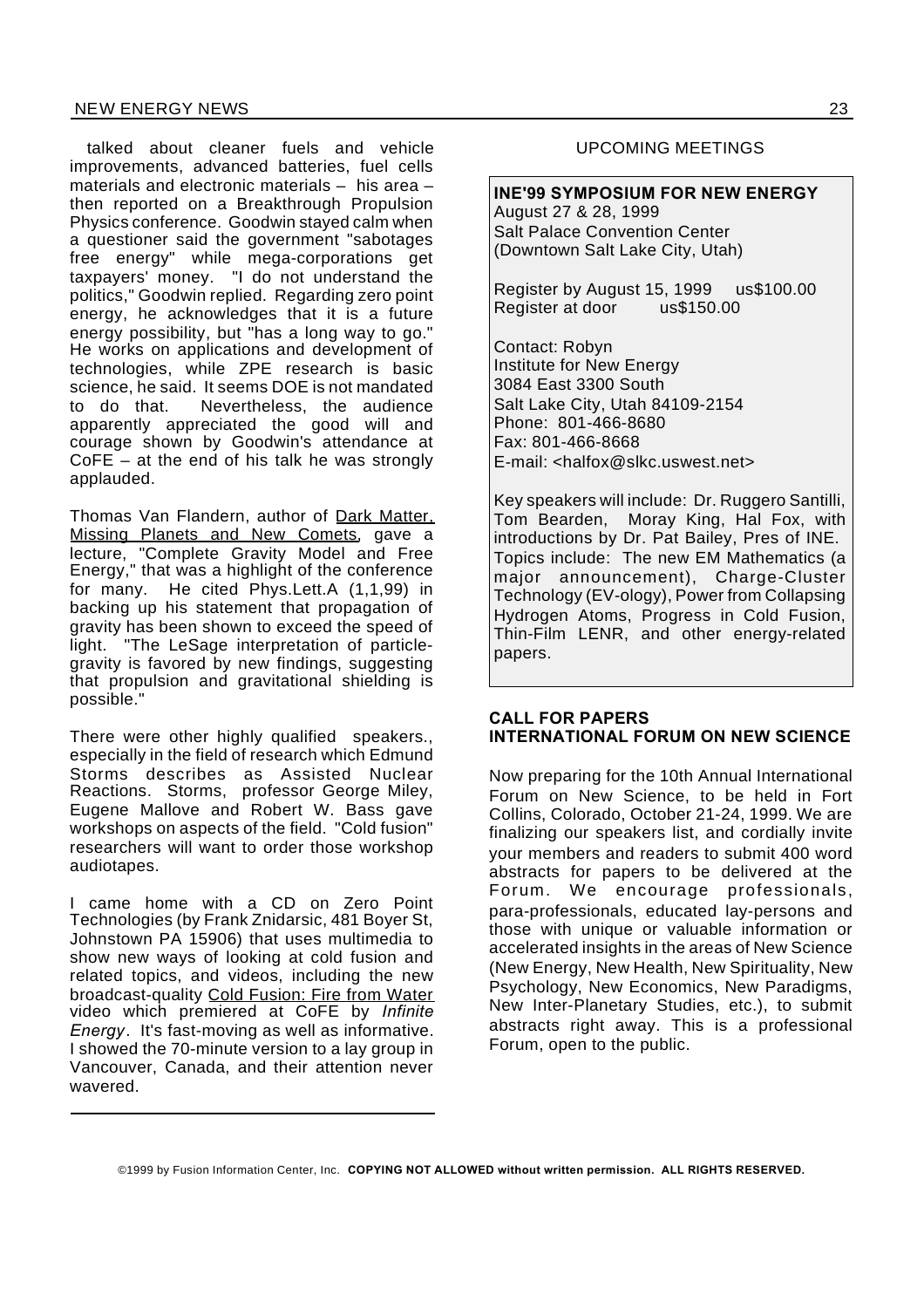#### NEW ENERGY NEWS 23

talked about cleaner fuels and vehicle improvements, advanced batteries, fuel cells materials and electronic materials – his area – then reported on a Breakthrough Propulsion Physics conference. Goodwin stayed calm when a questioner said the government "sabotages free energy" while mega-corporations get taxpayers' money. "I do not understand the politics," Goodwin replied. Regarding zero point energy, he acknowledges that it is a future energy possibility, but "has a long way to go." He works on applications and development of technologies, while ZPE research is basic science, he said. It seems DOE is not mandated to do that. Nevertheless, the audience apparently appreciated the good will and courage shown by Goodwin's attendance at CoFE – at the end of his talk he was strongly applauded.

Thomas Van Flandern, author of Dark Matter. Missing Planets and New Comets, gave a lecture, "Complete Gravity Model and Free Energy," that was a highlight of the conference for many. He cited Phys.Lett.A (1,1,99) in backing up his statement that propagation of gravity has been shown to exceed the speed of light. "The LeSage interpretation of particlegravity is favored by new findings, suggesting that propulsion and gravitational shielding is possible."

There were other highly qualified speakers., especially in the field of research which Edmund Storms describes as Assisted Nuclear Reactions. Storms, professor George Miley, Eugene Mallove and Robert W. Bass gave workshops on aspects of the field. "Cold fusion" researchers will want to order those workshop audiotapes.

I came home with a CD on Zero Point Technologies (by Frank Znidarsic, 481 Boyer St, Johnstown PA 15906) that uses multimedia to show new ways of looking at cold fusion and related topics, and videos, including the new broadcast-quality Cold Fusion: Fire from Water video which premiered at CoFE by *Infinite Energy*. It's fast-moving as well as informative. I showed the 70-minute version to a lay group in Vancouver, Canada, and their attention never wavered.

#### UPCOMING MEETINGS

**INE'99 SYMPOSIUM FOR NEW ENERGY** August 27 & 28, 1999 Salt Palace Convention Center (Downtown Salt Lake City, Utah)

Register by August 15, 1999 us\$100.00 Register at door us\$150.00

Contact: Robyn Institute for New Energy 3084 East 3300 South Salt Lake City, Utah 84109-2154 Phone: 801-466-8680 Fax: 801-466-8668 E-mail: <halfox@slkc.uswest.net>

Key speakers will include: Dr. Ruggero Santilli, Tom Bearden, Moray King, Hal Fox, with introductions by Dr. Pat Bailey, Pres of INE. Topics include: The new EM Mathematics (a major announcement), Charge-Cluster Technology (EV-ology), Power from Collapsing Hydrogen Atoms, Progress in Cold Fusion, Thin-Film LENR, and other energy-related papers.

#### **CALL FOR PAPERS INTERNATIONAL FORUM ON NEW SCIENCE**

Now preparing for the 10th Annual International Forum on New Science, to be held in Fort Collins, Colorado, October 21-24, 1999. We are finalizing our speakers list, and cordially invite your members and readers to submit 400 word abstracts for papers to be delivered at the Forum. We encourage professionals, para-professionals, educated lay-persons and those with unique or valuable information or accelerated insights in the areas of New Science (New Energy, New Health, New Spirituality, New Psychology, New Economics, New Paradigms, New Inter-Planetary Studies, etc.), to submit abstracts right away. This is a professional Forum, open to the public.

©1999 by Fusion Information Center, Inc. **COPYING NOT ALLOWED without written permission. ALL RIGHTS RESERVED.**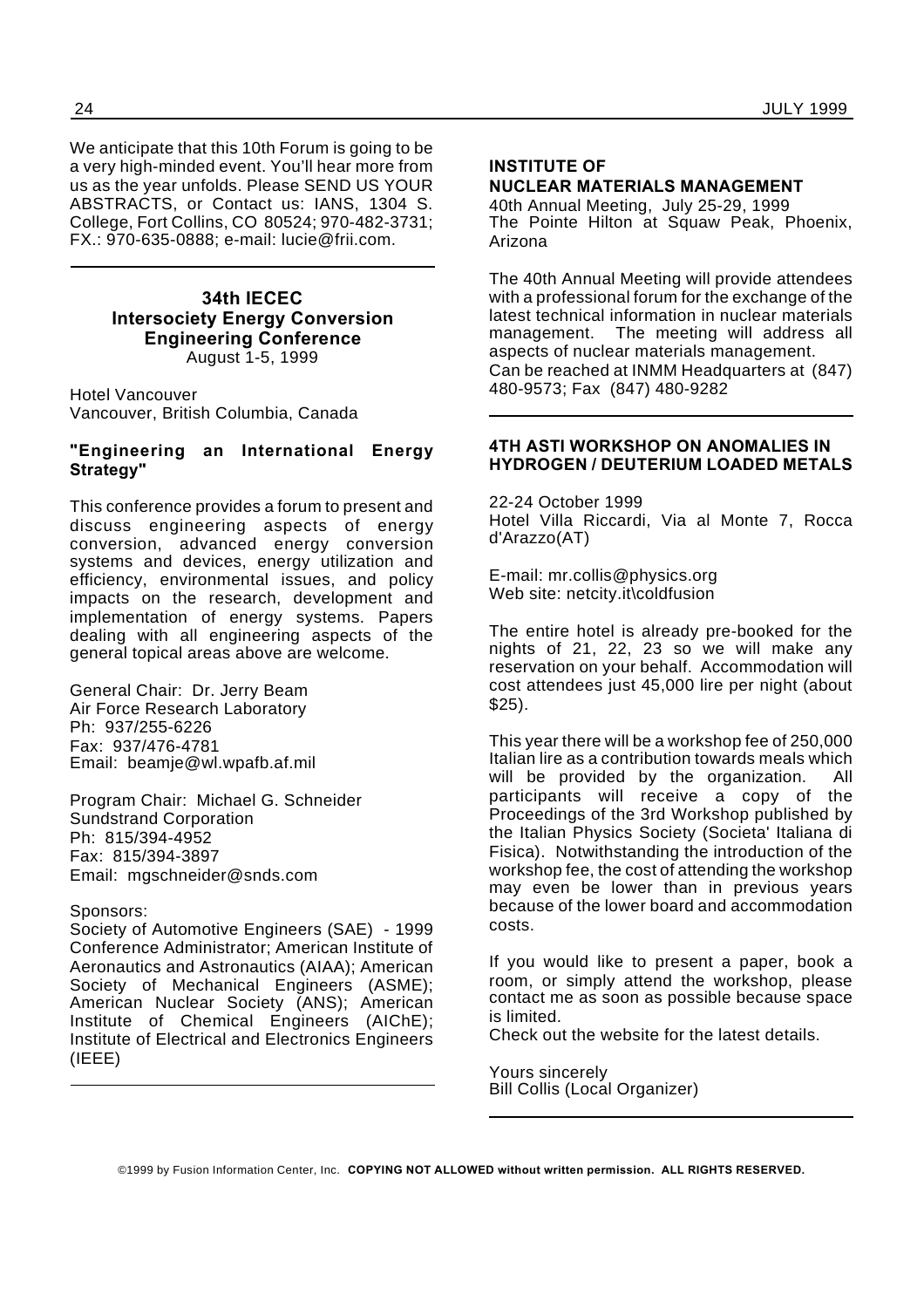We anticipate that this 10th Forum is going to be a very high-minded event. You'll hear more from us as the year unfolds. Please SEND US YOUR ABSTRACTS, or Contact us: IANS, 1304 S. College, Fort Collins, CO 80524; 970-482-3731; FX.: 970-635-0888; e-mail: lucie@frii.com.

#### **34th IECEC Intersociety Energy Conversion Engineering Conference** August 1-5, 1999

Hotel Vancouver Vancouver, British Columbia, Canada

#### **"Engineering an International Energy Strategy"**

This conference provides a forum to present and discuss engineering aspects of energy conversion, advanced energy conversion systems and devices, energy utilization and efficiency, environmental issues, and policy impacts on the research, development and implementation of energy systems. Papers dealing with all engineering aspects of the general topical areas above are welcome.

General Chair: Dr. Jerry Beam Air Force Research Laboratory Ph: 937/255-6226 Fax: 937/476-4781 Email: beamje@wl.wpafb.af.mil

Program Chair: Michael G. Schneider Sundstrand Corporation Ph: 815/394-4952 Fax: 815/394-3897 Email: mgschneider@snds.com

#### Sponsors:

Society of Automotive Engineers (SAE) - 1999 Conference Administrator; American Institute of Aeronautics and Astronautics (AIAA); American Society of Mechanical Engineers (ASME); American Nuclear Society (ANS); American Institute of Chemical Engineers (AIChE); Institute of Electrical and Electronics Engineers (IEEE)

#### **INSTITUTE OF NUCLEAR MATERIALS MANAGEMENT**

40th Annual Meeting, July 25-29, 1999 The Pointe Hilton at Squaw Peak, Phoenix, Arizona

The 40th Annual Meeting will provide attendees with a professional forum for the exchange of the latest technical information in nuclear materials management. The meeting will address all aspects of nuclear materials management. Can be reached at INMM Headquarters at (847) 480-9573; Fax (847) 480-9282

#### **4TH ASTI WORKSHOP ON ANOMALIES IN HYDROGEN / DEUTERIUM LOADED METALS**

22-24 October 1999 Hotel Villa Riccardi, Via al Monte 7, Rocca d'Arazzo(AT)

E-mail: mr.collis@physics.org Web site: netcity.it\coldfusion

The entire hotel is already pre-booked for the nights of 21, 22, 23 so we will make any reservation on your behalf. Accommodation will cost attendees just 45,000 lire per night (about \$25).

This year there will be a workshop fee of 250,000 Italian lire as a contribution towards meals which will be provided by the organization. All participants will receive a copy of the Proceedings of the 3rd Workshop published by the Italian Physics Society (Societa' Italiana di Fisica). Notwithstanding the introduction of the workshop fee, the cost of attending the workshop may even be lower than in previous years because of the lower board and accommodation costs.

If you would like to present a paper, book a room, or simply attend the workshop, please contact me as soon as possible because space is limited.

Check out the website for the latest details.

Yours sincerely Bill Collis (Local Organizer)

©1999 by Fusion Information Center, Inc. **COPYING NOT ALLOWED without written permission. ALL RIGHTS RESERVED.**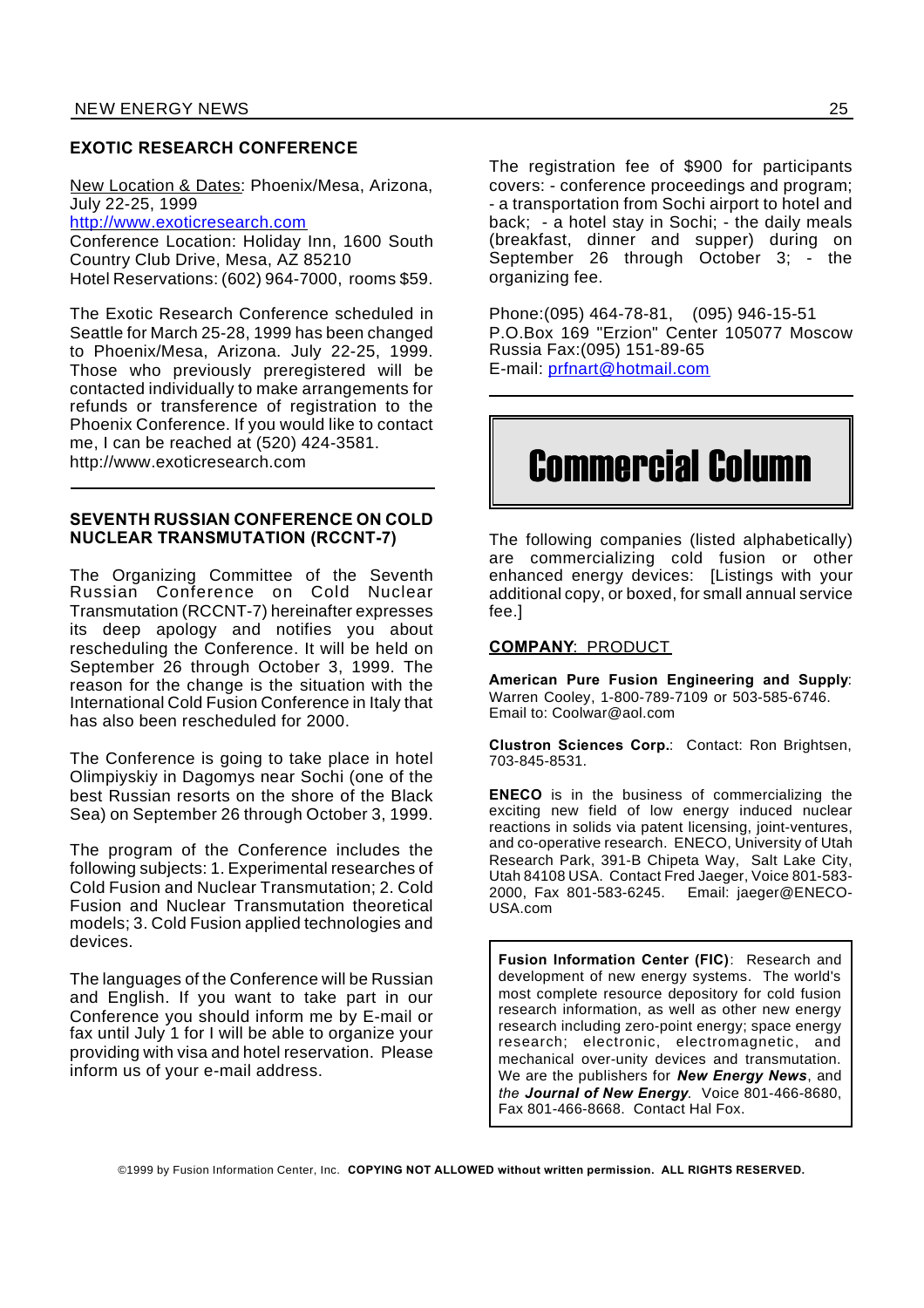#### **EXOTIC RESEARCH CONFERENCE**

New Location & Dates: Phoenix/Mesa, Arizona, July 22-25, 1999

http://www.exoticresearch.com

Conference Location: Holiday Inn, 1600 South Country Club Drive, Mesa, AZ 85210 Hotel Reservations: (602) 964-7000, rooms \$59.

The Exotic Research Conference scheduled in Seattle for March 25-28, 1999 has been changed to Phoenix/Mesa, Arizona. July 22-25, 1999. Those who previously preregistered will be contacted individually to make arrangements for refunds or transference of registration to the Phoenix Conference. If you would like to contact me, I can be reached at (520) 424-3581. http://www.exoticresearch.com

#### **SEVENTH RUSSIAN CONFERENCE ON COLD NUCLEAR TRANSMUTATION (RCCNT-7)**

The Organizing Committee of the Seventh Russian Conference on Cold Nuclear Transmutation (RCCNT-7) hereinafter expresses its deep apology and notifies you about rescheduling the Conference. It will be held on September 26 through October 3, 1999. The reason for the change is the situation with the International Cold Fusion Conference in Italy that has also been rescheduled for 2000.

The Conference is going to take place in hotel Olimpiyskiy in Dagomys near Sochi (one of the best Russian resorts on the shore of the Black Sea) on September 26 through October 3, 1999.

The program of the Conference includes the following subjects: 1. Experimental researches of Cold Fusion and Nuclear Transmutation; 2. Cold Fusion and Nuclear Transmutation theoretical models; 3. Cold Fusion applied technologies and devices.

The languages of the Conference will be Russian and English. If you want to take part in our Conference you should inform me by E-mail or fax until July 1 for I will be able to organize your providing with visa and hotel reservation. Please inform us of your e-mail address.

The registration fee of \$900 for participants covers: - conference proceedings and program; - a transportation from Sochi airport to hotel and back; - a hotel stay in Sochi; - the daily meals (breakfast, dinner and supper) during on September 26 through October 3; - the organizing fee.

Phone:(095) 464-78-81, (095) 946-15-51 P.O.Box 169 "Erzion" Center 105077 Moscow Russia Fax:(095) 151-89-65 E-mail: prfnart@hotmail.com

# Commercial Column

The following companies (listed alphabetically) are commercializing cold fusion or other enhanced energy devices: [Listings with your additional copy, or boxed, for small annual service fee.]

#### **COMPANY**: PRODUCT

**American Pure Fusion Engineering and Supply**: Warren Cooley, 1-800-789-7109 or 503-585-6746. Email to: Coolwar@aol.com

**Clustron Sciences Corp.**: Contact: Ron Brightsen, 703-845-8531.

**ENECO** is in the business of commercializing the exciting new field of low energy induced nuclear reactions in solids via patent licensing, joint-ventures, and co-operative research. ENECO, University of Utah Research Park, 391-B Chipeta Way, Salt Lake City, Utah 84108 USA. Contact Fred Jaeger, Voice 801-583- 2000, Fax 801-583-6245. Email: jaeger@ENECO-USA.com

**Fusion Information Center (FIC)**: Research and development of new energy systems. The world's most complete resource depository for cold fusion research information, as well as other new energy research including zero-point energy; space energy research; electronic, electromagnetic, and mechanical over-unity devices and transmutation. We are the publishers for *New Energy News*, and *the Journal of New Energy.* Voice 801-466-8680, Fax 801-466-8668. Contact Hal Fox.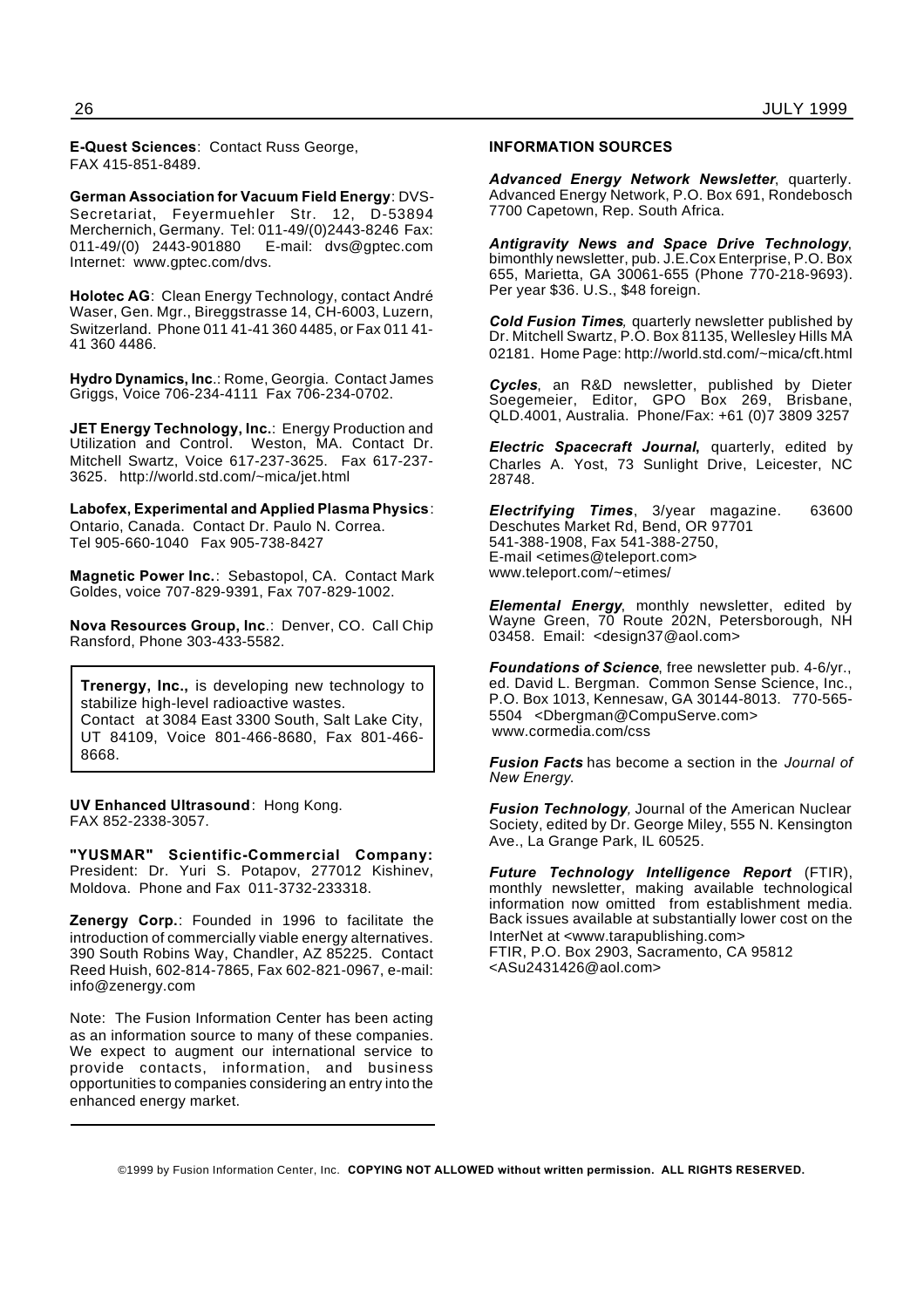**E-Quest Sciences**: Contact Russ George, FAX 415-851-8489.

**German Association for Vacuum Field Energy**: DVS-Secretariat, Feyermuehler Str. 12, D-53894 Merchernich, Germany. Tel: 011-49/(0)2443-8246 Fax: 011-49/(0) 2443-901880 E-mail: dvs@gptec.com Internet: www.gptec.com/dvs.

**Holotec AG**: Clean Energy Technology, contact André Waser, Gen. Mgr., Bireggstrasse 14, CH-6003, Luzern, Switzerland. Phone 011 41-41 360 4485, or Fax 011 41- 41 360 4486.

**Hydro Dynamics, Inc**.: Rome, Georgia. Contact James Griggs, Voice 706-234-4111 Fax 706-234-0702.

**JET Energy Technology, Inc.**: Energy Production and Utilization and Control. Weston, MA. Contact Dr. Mitchell Swartz, Voice 617-237-3625. Fax 617-237- 3625. http://world.std.com/~mica/jet.html

**Labofex, Experimental and Applied Plasma Physics**: Ontario, Canada. Contact Dr. Paulo N. Correa. Tel 905-660-1040 Fax 905-738-8427

**Magnetic Power Inc.**: Sebastopol, CA. Contact Mark Goldes, voice 707-829-9391, Fax 707-829-1002.

**Nova Resources Group, Inc**.: Denver, CO. Call Chip Ransford, Phone 303-433-5582.

**Trenergy, Inc.,** is developing new technology to stabilize high-level radioactive wastes. Contact at 3084 East 3300 South, Salt Lake City, UT 84109, Voice 801-466-8680, Fax 801-466- 8668.

**UV Enhanced Ultrasound**: Hong Kong. FAX 852-2338-3057.

**"YUSMAR" Scientific-Commercial Company:** President: Dr. Yuri S. Potapov, 277012 Kishinev, Moldova. Phone and Fax 011-3732-233318.

**Zenergy Corp.**: Founded in 1996 to facilitate the introduction of commercially viable energy alternatives. 390 South Robins Way, Chandler, AZ 85225. Contact Reed Huish, 602-814-7865, Fax 602-821-0967, e-mail: info@zenergy.com

Note: The Fusion Information Center has been acting as an information source to many of these companies. We expect to augment our international service to provide contacts, information, and business opportunities to companies considering an entry into the enhanced energy market.

#### **INFORMATION SOURCES**

*Advanced Energy Network Newsletter*, quarterly. Advanced Energy Network, P.O. Box 691, Rondebosch 7700 Capetown, Rep. South Africa.

*Antigravity News and Space Drive Technology*, bimonthly newsletter, pub. J.E.Cox Enterprise, P.O. Box 655, Marietta, GA 30061-655 (Phone 770-218-9693). Per year \$36. U.S., \$48 foreign.

*Cold Fusion Times,* quarterly newsletter published by Dr. Mitchell Swartz, P.O. Box 81135, Wellesley Hills MA 02181. Home Page: http://world.std.com/~mica/cft.html

*Cycles*, an R&D newsletter, published by Dieter Soegemeier, Editor, GPO Box 269, Brisbane, QLD.4001, Australia. Phone/Fax: +61 (0)7 3809 3257

*Electric Spacecraft Journal***,** quarterly, edited by Charles A. Yost, 73 Sunlight Drive, Leicester, NC 28748.

*Electrifying Times*, 3/year magazine. 63600 Deschutes Market Rd, Bend, OR 97701 541-388-1908, Fax 541-388-2750, E-mail <etimes@teleport.com> www.teleport.com/~etimes/

*Elemental Energy*, monthly newsletter, edited by Wayne Green, 70 Route 202N, Petersborough, NH 03458. Email: <design37@aol.com>

*Foundations of Science*, free newsletter pub. 4-6/yr., ed. David L. Bergman. Common Sense Science, Inc., P.O. Box 1013, Kennesaw, GA 30144-8013. 770-565- 5504 <Dbergman@CompuServe.com> www.cormedia.com/css

*Fusion Facts* has become a section in the *Journal of New Energy*.

*Fusion Technology,* Journal of the American Nuclear Society, edited by Dr. George Miley, 555 N. Kensington Ave., La Grange Park, IL 60525.

*Future Technology Intelligence Report* (FTIR), monthly newsletter, making available technological information now omitted from establishment media. Back issues available at substantially lower cost on the InterNet at <www.tarapublishing.com> FTIR, P.O. Box 2903, Sacramento, CA 95812 <ASu2431426@aol.com>

<sup>©1999</sup> by Fusion Information Center, Inc. **COPYING NOT ALLOWED without written permission. ALL RIGHTS RESERVED.**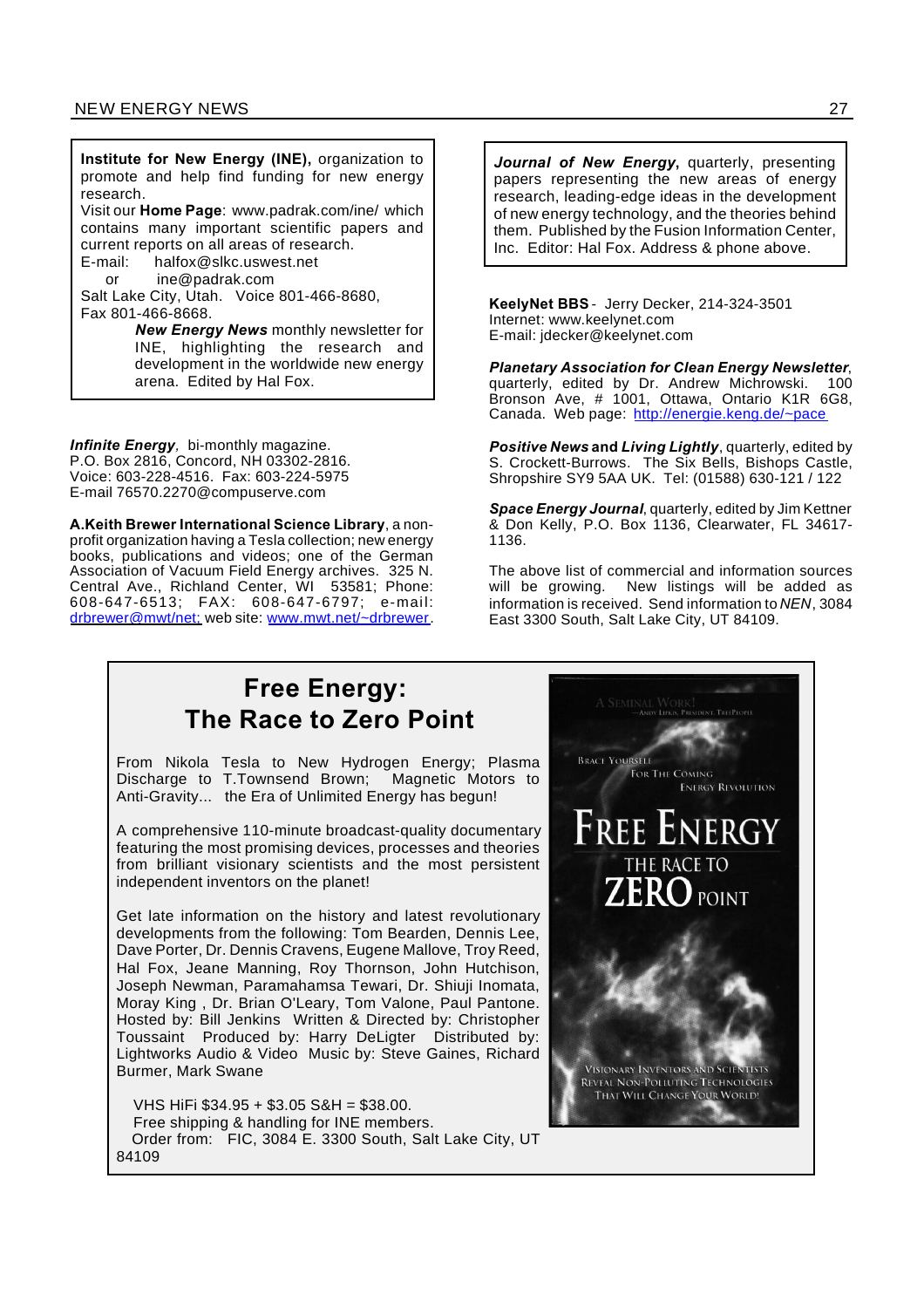**Institute for New Energy (INE),** organization to promote and help find funding for new energy research.

Visit our **Home Page**: www.padrak.com/ine/ which contains many important scientific papers and current reports on all areas of research.<br>E-mail: halfox@slkc.uswest.net

halfox@slkc.uswest.net

or ine@padrak.com

Salt Lake City, Utah. Voice 801-466-8680, Fax 801-466-8668.

> *New Energy News* monthly newsletter for INE, highlighting the research and development in the worldwide new energy arena. Edited by Hal Fox.

*Infinite Energy,* bi-monthly magazine. P.O. Box 2816, Concord, NH 03302-2816. Voice: 603-228-4516. Fax: 603-224-5975 E-mail 76570.2270@compuserve.com

**A.Keith Brewer International Science Library**, a nonprofit organization having a Tesla collection; new energy books, publications and videos; one of the German Association of Vacuum Field Energy archives. 325 N. Central Ave., Richland Center, WI 53581; Phone: 608-647-6513; FAX: 608-647-6797; e-mail: drbrewer@mwt/net; web site: www.mwt.net/~drbrewer.

*Journal of New Energy***,** quarterly, presenting papers representing the new areas of energy research, leading-edge ideas in the development of new energy technology, and the theories behind them. Published by the Fusion Information Center, Inc. Editor: Hal Fox. Address & phone above.

**KeelyNet BBS** - Jerry Decker, 214-324-3501 Internet: www.keelynet.com E-mail: jdecker@keelynet.com

*Planetary Association for Clean Energy Newsletter*, quarterly, edited by Dr. Andrew Michrowski. Bronson Ave, # 1001, Ottawa, Ontario K1R 6G8, Canada. Web page: http://energie.keng.de/~pace

*Positive News* **and** *Living Lightly*, quarterly, edited by S. Crockett-Burrows. The Six Bells, Bishops Castle, Shropshire SY9 5AA UK. Tel: (01588) 630-121 / 122

*Space Energy Journal*, quarterly, edited by Jim Kettner & Don Kelly, P.O. Box 1136, Clearwater, FL 34617- 1136.

The above list of commercial and information sources will be growing. New listings will be added as information is received. Send information to *NEN*, 3084 East 3300 South, Salt Lake City, UT 84109.

### **Free Energy: The Race to Zero Point**

From Nikola Tesla to New Hydrogen Energy; Plasma Discharge to T.Townsend Brown; Magnetic Motors to Anti-Gravity... the Era of Unlimited Energy has begun!

A comprehensive 110-minute broadcast-quality documentary featuring the most promising devices, processes and theories from brilliant visionary scientists and the most persistent independent inventors on the planet!

Get late information on the history and latest revolutionary developments from the following: Tom Bearden, Dennis Lee, Dave Porter, Dr. Dennis Cravens, Eugene Mallove, Troy Reed, Hal Fox, Jeane Manning, Roy Thornson, John Hutchison, Joseph Newman, Paramahamsa Tewari, Dr. Shiuji Inomata, Moray King , Dr. Brian O'Leary, Tom Valone, Paul Pantone. Hosted by: Bill Jenkins Written & Directed by: Christopher Toussaint Produced by: Harry DeLigter Distributed by: Lightworks Audio & Video Music by: Steve Gaines, Richard Burmer, Mark Swane

VHS HiFi \$34.95 + \$3.05 S&H = \$38.00. Free shipping & handling for INE members. Order from: FIC, 3084 E. 3300 South, Salt Lake City, UT 84109